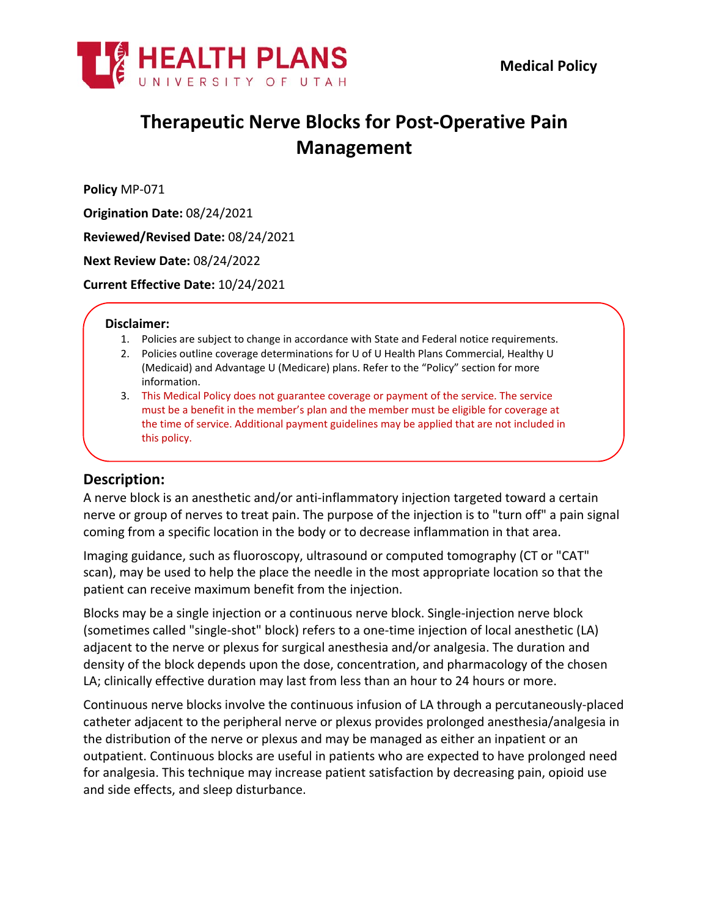



# **Therapeutic Nerve Blocks for Post-Operative Pain Management**

**Policy** MP-071

**Origination Date:** 08/24/2021

**Reviewed/Revised Date:** 08/24/2021

**Next Review Date:** 08/24/2022

**Current Effective Date:** 10/24/2021

#### **Disclaimer:**

- 1. Policies are subject to change in accordance with State and Federal notice requirements.
- 2. Policies outline coverage determinations for U of U Health Plans Commercial, Healthy U (Medicaid) and Advantage U (Medicare) plans. Refer to the "Policy" section for more information.
- 3. This Medical Policy does not guarantee coverage or payment of the service. The service must be a benefit in the member's plan and the member must be eligible for coverage at the time of service. Additional payment guidelines may be applied that are not included in this policy.

### **Description:**

A nerve block is an anesthetic and/or anti-inflammatory injection targeted toward a certain nerve or group of nerves to treat pain. The purpose of the injection is to "turn off" a pain signal coming from a specific location in the body or to decrease inflammation in that area.

Imaging guidance, such as fluoroscopy, ultrasound or computed tomography (CT or "CAT" scan), may be used to help the place the needle in the most appropriate location so that the patient can receive maximum benefit from the injection.

Blocks may be a single injection or a continuous nerve block. Single-injection nerve block (sometimes called "single-shot" block) refers to a one-time injection of local anesthetic (LA) adjacent to the nerve or plexus for surgical anesthesia and/or analgesia. The duration and density of the block depends upon the dose, concentration, and pharmacology of the chosen LA; clinically effective duration may last from less than an hour to 24 hours or more.

Continuous nerve blocks involve the continuous infusion of LA through a percutaneously-placed catheter adjacent to the peripheral nerve or plexus provides prolonged anesthesia/analgesia in the distribution of the nerve or plexus and may be managed as either an inpatient or an outpatient. Continuous blocks are useful in patients who are expected to have prolonged need for analgesia. This technique may increase patient satisfaction by decreasing pain, opioid use and side effects, and sleep disturbance.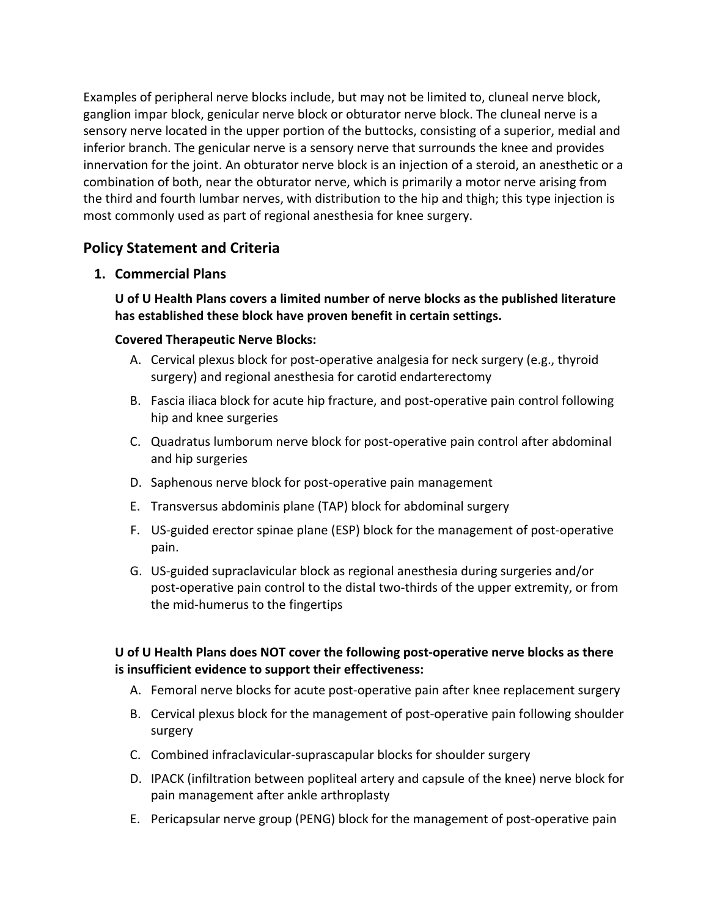Examples of peripheral nerve blocks include, but may not be limited to, cluneal nerve block, ganglion impar block, genicular nerve block or obturator nerve block. The cluneal nerve is a sensory nerve located in the upper portion of the buttocks, consisting of a superior, medial and inferior branch. The genicular nerve is a sensory nerve that surrounds the knee and provides innervation for the joint. An obturator nerve block is an injection of a steroid, an anesthetic or a combination of both, near the obturator nerve, which is primarily a motor nerve arising from the third and fourth lumbar nerves, with distribution to the hip and thigh; this type injection is most commonly used as part of regional anesthesia for knee surgery.

## **Policy Statement and Criteria**

## **1. Commercial Plans**

**U of U Health Plans covers a limited number of nerve blocks as the published literature has established these block have proven benefit in certain settings.**

## **Covered Therapeutic Nerve Blocks:**

- A. Cervical plexus block for post-operative analgesia for neck surgery (e.g., thyroid surgery) and regional anesthesia for carotid endarterectomy
- B. Fascia iliaca block for acute hip fracture, and post-operative pain control following hip and knee surgeries
- C. Quadratus lumborum nerve block for post-operative pain control after abdominal and hip surgeries
- D. Saphenous nerve block for post-operative pain management
- E. Transversus abdominis plane (TAP) block for abdominal surgery
- F. US-guided erector spinae plane (ESP) block for the management of post-operative pain.
- G. US-guided supraclavicular block as regional anesthesia during surgeries and/or post-operative pain control to the distal two-thirds of the upper extremity, or from the mid-humerus to the fingertips

## **U of U Health Plans does NOT cover the following post-operative nerve blocks as there is insufficient evidence to support their effectiveness:**

- A. Femoral nerve blocks for acute post-operative pain after knee replacement surgery
- B. Cervical plexus block for the management of post-operative pain following shoulder surgery
- C. Combined infraclavicular-suprascapular blocks for shoulder surgery
- D. IPACK (infiltration between popliteal artery and capsule of the knee) nerve block for pain management after ankle arthroplasty
- E. Pericapsular nerve group (PENG) block for the management of post-operative pain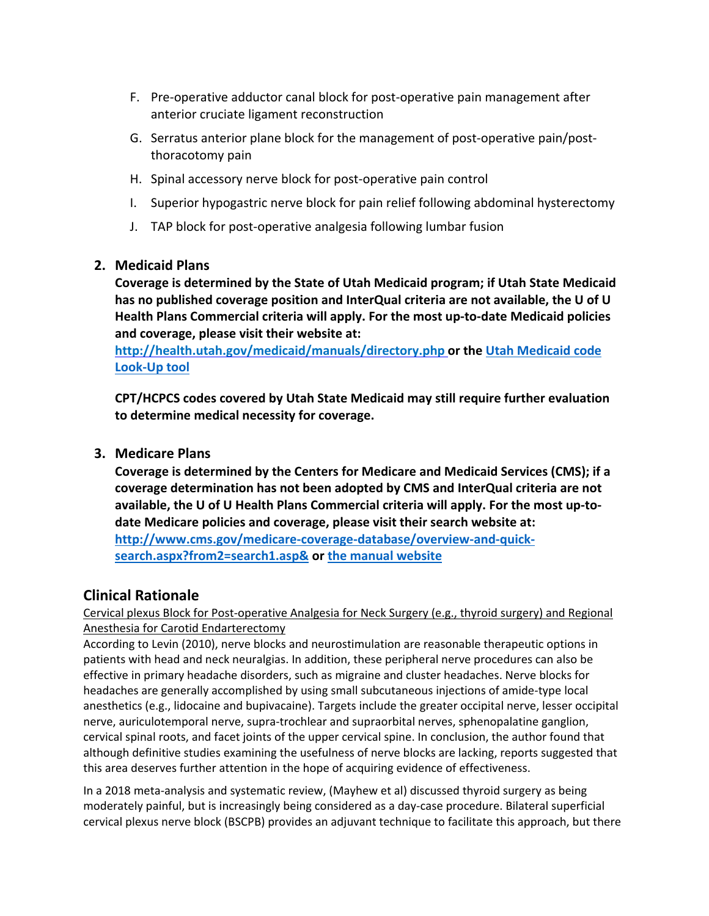- F. Pre-operative adductor canal block for post-operative pain management after anterior cruciate ligament reconstruction
- G. Serratus anterior plane block for the management of post-operative pain/postthoracotomy pain
- H. Spinal accessory nerve block for post-operative pain control
- I. Superior hypogastric nerve block for pain relief following abdominal hysterectomy
- J. TAP block for post-operative analgesia following lumbar fusion

## **2. Medicaid Plans**

**Coverage is determined by the State of Utah Medicaid program; if Utah State Medicaid has no published coverage position and InterQual criteria are not available, the U of U Health Plans Commercial criteria will apply. For the most up-to-date Medicaid policies and coverage, please visit their website at:**

**<http://health.utah.gov/medicaid/manuals/directory.php> or the [Utah Medicaid code](https://health.utah.gov/stplan/lookup/CoverageLookup.php)  [Look-Up tool](https://health.utah.gov/stplan/lookup/CoverageLookup.php)**

**CPT/HCPCS codes covered by Utah State Medicaid may still require further evaluation to determine medical necessity for coverage.**

## **3. Medicare Plans**

**Coverage is determined by the Centers for Medicare and Medicaid Services (CMS); if a coverage determination has not been adopted by CMS and InterQual criteria are not available, the U of U Health Plans Commercial criteria will apply. For the most up-todate Medicare policies and coverage, please visit their search website at: [http://www.cms.gov/medicare-coverage-database/overview-and-quick](http://www.cms.gov/medicare-coverage-database/overview-and-quick-search.aspx?from2=search1.asp&)[search.aspx?from2=search1.asp&](http://www.cms.gov/medicare-coverage-database/overview-and-quick-search.aspx?from2=search1.asp&) or [the manual website](https://www.cms.gov/Regulations-and-Guidance/Guidance/Manuals/Internet-Only-Manuals-IOMs)**

## **Clinical Rationale**

Cervical plexus Block for Post-operative Analgesia for Neck Surgery (e.g., thyroid surgery) and Regional Anesthesia for Carotid Endarterectomy

According to Levin (2010), nerve blocks and neurostimulation are reasonable therapeutic options in patients with head and neck neuralgias. In addition, these peripheral nerve procedures can also be effective in primary headache disorders, such as migraine and cluster headaches. Nerve blocks for headaches are generally accomplished by using small subcutaneous injections of amide-type local anesthetics (e.g., lidocaine and bupivacaine). Targets include the greater occipital nerve, lesser occipital nerve, auriculotemporal nerve, supra-trochlear and supraorbital nerves, sphenopalatine ganglion, cervical spinal roots, and facet joints of the upper cervical spine. In conclusion, the author found that although definitive studies examining the usefulness of nerve blocks are lacking, reports suggested that this area deserves further attention in the hope of acquiring evidence of effectiveness.

In a 2018 meta-analysis and systematic review, (Mayhew et al) discussed thyroid surgery as being moderately painful, but is increasingly being considered as a day-case procedure. Bilateral superficial cervical plexus nerve block (BSCPB) provides an adjuvant technique to facilitate this approach, but there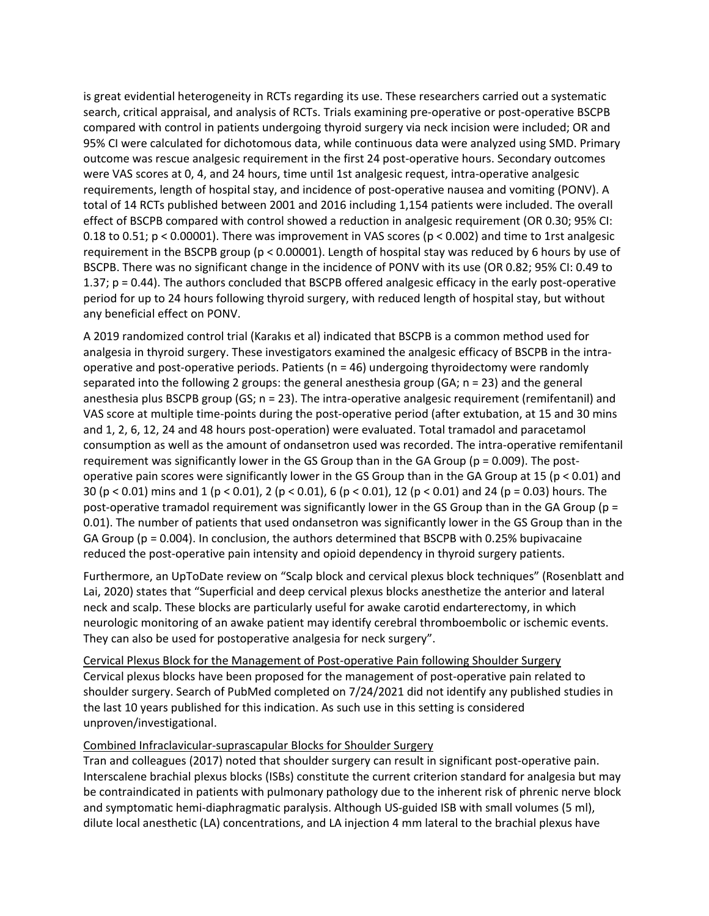is great evidential heterogeneity in RCTs regarding its use. These researchers carried out a systematic search, critical appraisal, and analysis of RCTs. Trials examining pre-operative or post-operative BSCPB compared with control in patients undergoing thyroid surgery via neck incision were included; OR and 95% CI were calculated for dichotomous data, while continuous data were analyzed using SMD. Primary outcome was rescue analgesic requirement in the first 24 post-operative hours. Secondary outcomes were VAS scores at 0, 4, and 24 hours, time until 1st analgesic request, intra-operative analgesic requirements, length of hospital stay, and incidence of post-operative nausea and vomiting (PONV). A total of 14 RCTs published between 2001 and 2016 including 1,154 patients were included. The overall effect of BSCPB compared with control showed a reduction in analgesic requirement (OR 0.30; 95% CI: 0.18 to 0.51; p < 0.00001). There was improvement in VAS scores (p < 0.002) and time to 1rst analgesic requirement in the BSCPB group (p < 0.00001). Length of hospital stay was reduced by 6 hours by use of BSCPB. There was no significant change in the incidence of PONV with its use (OR 0.82; 95% CI: 0.49 to 1.37; p = 0.44). The authors concluded that BSCPB offered analgesic efficacy in the early post-operative period for up to 24 hours following thyroid surgery, with reduced length of hospital stay, but without any beneficial effect on PONV.

A 2019 randomized control trial (Karakıs et al) indicated that BSCPB is a common method used for analgesia in thyroid surgery. These investigators examined the analgesic efficacy of BSCPB in the intraoperative and post-operative periods. Patients ( $n = 46$ ) undergoing thyroidectomy were randomly separated into the following 2 groups: the general anesthesia group (GA; n = 23) and the general anesthesia plus BSCPB group (GS; n = 23). The intra-operative analgesic requirement (remifentanil) and VAS score at multiple time-points during the post-operative period (after extubation, at 15 and 30 mins and 1, 2, 6, 12, 24 and 48 hours post-operation) were evaluated. Total tramadol and paracetamol consumption as well as the amount of ondansetron used was recorded. The intra-operative remifentanil requirement was significantly lower in the GS Group than in the GA Group ( $p = 0.009$ ). The postoperative pain scores were significantly lower in the GS Group than in the GA Group at 15 (p < 0.01) and 30 (p < 0.01) mins and 1 (p < 0.01), 2 (p < 0.01), 6 (p < 0.01), 12 (p < 0.01) and 24 (p = 0.03) hours. The post-operative tramadol requirement was significantly lower in the GS Group than in the GA Group (p = 0.01). The number of patients that used ondansetron was significantly lower in the GS Group than in the GA Group ( $p = 0.004$ ). In conclusion, the authors determined that BSCPB with 0.25% bupivacaine reduced the post-operative pain intensity and opioid dependency in thyroid surgery patients.

Furthermore, an UpToDate review on "Scalp block and cervical plexus block techniques" (Rosenblatt and Lai, 2020) states that "Superficial and deep cervical plexus blocks anesthetize the anterior and lateral neck and scalp. These blocks are particularly useful for awake carotid endarterectomy, in which neurologic monitoring of an awake patient may identify cerebral thromboembolic or ischemic events. They can also be used for postoperative analgesia for neck surgery".

Cervical Plexus Block for the Management of Post-operative Pain following Shoulder Surgery Cervical plexus blocks have been proposed for the management of post-operative pain related to shoulder surgery. Search of PubMed completed on 7/24/2021 did not identify any published studies in the last 10 years published for this indication. As such use in this setting is considered unproven/investigational.

#### Combined Infraclavicular-suprascapular Blocks for Shoulder Surgery

Tran and colleagues (2017) noted that shoulder surgery can result in significant post-operative pain. Interscalene brachial plexus blocks (ISBs) constitute the current criterion standard for analgesia but may be contraindicated in patients with pulmonary pathology due to the inherent risk of phrenic nerve block and symptomatic hemi-diaphragmatic paralysis. Although US-guided ISB with small volumes (5 ml), dilute local anesthetic (LA) concentrations, and LA injection 4 mm lateral to the brachial plexus have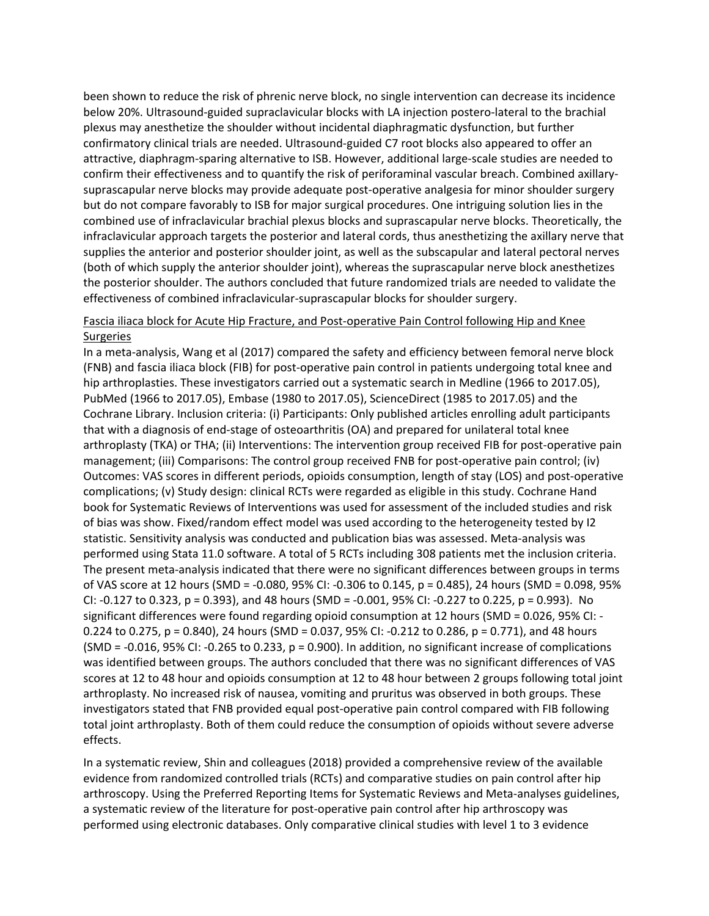been shown to reduce the risk of phrenic nerve block, no single intervention can decrease its incidence below 20%. Ultrasound-guided supraclavicular blocks with LA injection postero-lateral to the brachial plexus may anesthetize the shoulder without incidental diaphragmatic dysfunction, but further confirmatory clinical trials are needed. Ultrasound-guided C7 root blocks also appeared to offer an attractive, diaphragm-sparing alternative to ISB. However, additional large-scale studies are needed to confirm their effectiveness and to quantify the risk of periforaminal vascular breach. Combined axillarysuprascapular nerve blocks may provide adequate post-operative analgesia for minor shoulder surgery but do not compare favorably to ISB for major surgical procedures. One intriguing solution lies in the combined use of infraclavicular brachial plexus blocks and suprascapular nerve blocks. Theoretically, the infraclavicular approach targets the posterior and lateral cords, thus anesthetizing the axillary nerve that supplies the anterior and posterior shoulder joint, as well as the subscapular and lateral pectoral nerves (both of which supply the anterior shoulder joint), whereas the suprascapular nerve block anesthetizes the posterior shoulder. The authors concluded that future randomized trials are needed to validate the effectiveness of combined infraclavicular-suprascapular blocks for shoulder surgery.

#### Fascia iliaca block for Acute Hip Fracture, and Post-operative Pain Control following Hip and Knee **Surgeries**

In a meta-analysis, Wang et al (2017) compared the safety and efficiency between femoral nerve block (FNB) and fascia iliaca block (FIB) for post-operative pain control in patients undergoing total knee and hip arthroplasties. These investigators carried out a systematic search in Medline (1966 to 2017.05), PubMed (1966 to 2017.05), Embase (1980 to 2017.05), ScienceDirect (1985 to 2017.05) and the Cochrane Library. Inclusion criteria: (i) Participants: Only published articles enrolling adult participants that with a diagnosis of end-stage of osteoarthritis (OA) and prepared for unilateral total knee arthroplasty (TKA) or THA; (ii) Interventions: The intervention group received FIB for post-operative pain management; (iii) Comparisons: The control group received FNB for post-operative pain control; (iv) Outcomes: VAS scores in different periods, opioids consumption, length of stay (LOS) and post-operative complications; (v) Study design: clinical RCTs were regarded as eligible in this study. Cochrane Hand book for Systematic Reviews of Interventions was used for assessment of the included studies and risk of bias was show. Fixed/random effect model was used according to the heterogeneity tested by I2 statistic. Sensitivity analysis was conducted and publication bias was assessed. Meta-analysis was performed using Stata 11.0 software. A total of 5 RCTs including 308 patients met the inclusion criteria. The present meta-analysis indicated that there were no significant differences between groups in terms of VAS score at 12 hours (SMD = -0.080, 95% CI: -0.306 to 0.145, p = 0.485), 24 hours (SMD = 0.098, 95% CI: -0.127 to 0.323, p = 0.393), and 48 hours (SMD = -0.001, 95% CI: -0.227 to 0.225, p = 0.993). No significant differences were found regarding opioid consumption at 12 hours (SMD = 0.026, 95% CI: - 0.224 to 0.275, p = 0.840), 24 hours (SMD = 0.037, 95% CI: -0.212 to 0.286, p = 0.771), and 48 hours (SMD = -0.016, 95% CI: -0.265 to 0.233,  $p = 0.900$ ). In addition, no significant increase of complications was identified between groups. The authors concluded that there was no significant differences of VAS scores at 12 to 48 hour and opioids consumption at 12 to 48 hour between 2 groups following total joint arthroplasty. No increased risk of nausea, vomiting and pruritus was observed in both groups. These investigators stated that FNB provided equal post-operative pain control compared with FIB following total joint arthroplasty. Both of them could reduce the consumption of opioids without severe adverse effects.

In a systematic review, Shin and colleagues (2018) provided a comprehensive review of the available evidence from randomized controlled trials (RCTs) and comparative studies on pain control after hip arthroscopy. Using the Preferred Reporting Items for Systematic Reviews and Meta-analyses guidelines, a systematic review of the literature for post-operative pain control after hip arthroscopy was performed using electronic databases. Only comparative clinical studies with level 1 to 3 evidence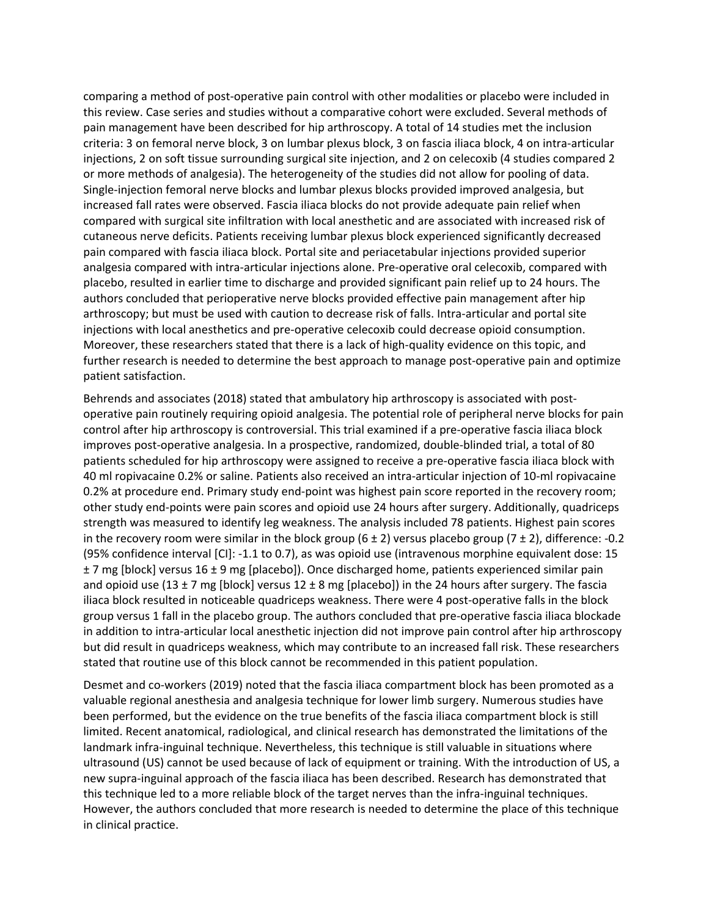comparing a method of post-operative pain control with other modalities or placebo were included in this review. Case series and studies without a comparative cohort were excluded. Several methods of pain management have been described for hip arthroscopy. A total of 14 studies met the inclusion criteria: 3 on femoral nerve block, 3 on lumbar plexus block, 3 on fascia iliaca block, 4 on intra-articular injections, 2 on soft tissue surrounding surgical site injection, and 2 on celecoxib (4 studies compared 2 or more methods of analgesia). The heterogeneity of the studies did not allow for pooling of data. Single-injection femoral nerve blocks and lumbar plexus blocks provided improved analgesia, but increased fall rates were observed. Fascia iliaca blocks do not provide adequate pain relief when compared with surgical site infiltration with local anesthetic and are associated with increased risk of cutaneous nerve deficits. Patients receiving lumbar plexus block experienced significantly decreased pain compared with fascia iliaca block. Portal site and periacetabular injections provided superior analgesia compared with intra-articular injections alone. Pre-operative oral celecoxib, compared with placebo, resulted in earlier time to discharge and provided significant pain relief up to 24 hours. The authors concluded that perioperative nerve blocks provided effective pain management after hip arthroscopy; but must be used with caution to decrease risk of falls. Intra-articular and portal site injections with local anesthetics and pre-operative celecoxib could decrease opioid consumption. Moreover, these researchers stated that there is a lack of high-quality evidence on this topic, and further research is needed to determine the best approach to manage post-operative pain and optimize patient satisfaction.

Behrends and associates (2018) stated that ambulatory hip arthroscopy is associated with postoperative pain routinely requiring opioid analgesia. The potential role of peripheral nerve blocks for pain control after hip arthroscopy is controversial. This trial examined if a pre-operative fascia iliaca block improves post-operative analgesia. In a prospective, randomized, double-blinded trial, a total of 80 patients scheduled for hip arthroscopy were assigned to receive a pre-operative fascia iliaca block with 40 ml ropivacaine 0.2% or saline. Patients also received an intra-articular injection of 10-ml ropivacaine 0.2% at procedure end. Primary study end-point was highest pain score reported in the recovery room; other study end-points were pain scores and opioid use 24 hours after surgery. Additionally, quadriceps strength was measured to identify leg weakness. The analysis included 78 patients. Highest pain scores in the recovery room were similar in the block group  $(6 \pm 2)$  versus placebo group  $(7 \pm 2)$ , difference: -0.2 (95% confidence interval [CI]: -1.1 to 0.7), as was opioid use (intravenous morphine equivalent dose: 15 ± 7 mg [block] versus 16 ± 9 mg [placebo]). Once discharged home, patients experienced similar pain and opioid use (13  $\pm$  7 mg [block] versus 12  $\pm$  8 mg [placebo]) in the 24 hours after surgery. The fascia iliaca block resulted in noticeable quadriceps weakness. There were 4 post-operative falls in the block group versus 1 fall in the placebo group. The authors concluded that pre-operative fascia iliaca blockade in addition to intra-articular local anesthetic injection did not improve pain control after hip arthroscopy but did result in quadriceps weakness, which may contribute to an increased fall risk. These researchers stated that routine use of this block cannot be recommended in this patient population.

Desmet and co-workers (2019) noted that the fascia iliaca compartment block has been promoted as a valuable regional anesthesia and analgesia technique for lower limb surgery. Numerous studies have been performed, but the evidence on the true benefits of the fascia iliaca compartment block is still limited. Recent anatomical, radiological, and clinical research has demonstrated the limitations of the landmark infra-inguinal technique. Nevertheless, this technique is still valuable in situations where ultrasound (US) cannot be used because of lack of equipment or training. With the introduction of US, a new supra-inguinal approach of the fascia iliaca has been described. Research has demonstrated that this technique led to a more reliable block of the target nerves than the infra-inguinal techniques. However, the authors concluded that more research is needed to determine the place of this technique in clinical practice.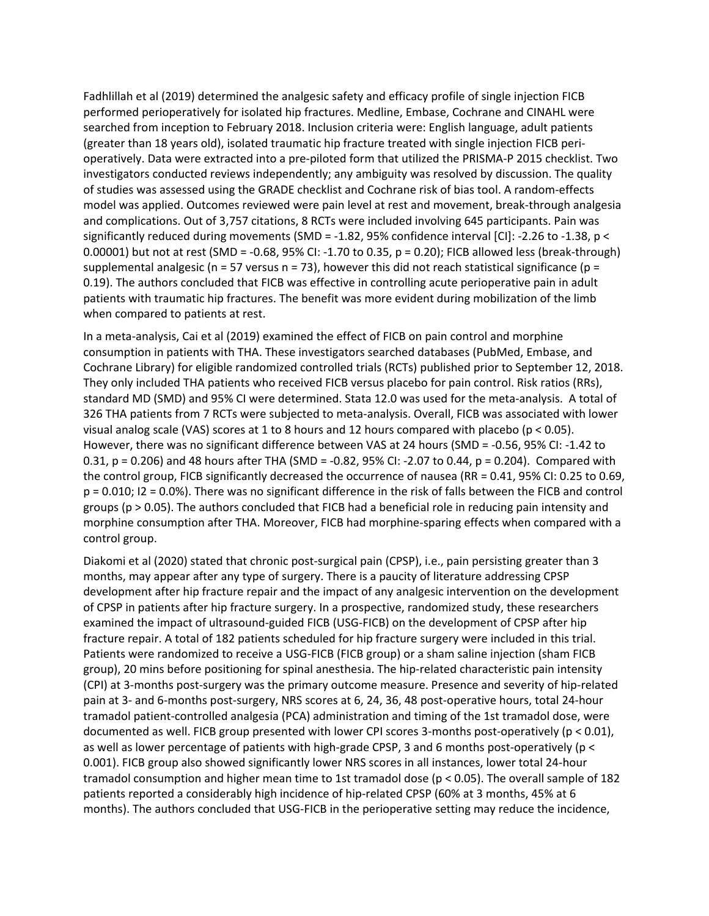Fadhlillah et al (2019) determined the analgesic safety and efficacy profile of single injection FICB performed perioperatively for isolated hip fractures. Medline, Embase, Cochrane and CINAHL were searched from inception to February 2018. Inclusion criteria were: English language, adult patients (greater than 18 years old), isolated traumatic hip fracture treated with single injection FICB perioperatively. Data were extracted into a pre-piloted form that utilized the PRISMA-P 2015 checklist. Two investigators conducted reviews independently; any ambiguity was resolved by discussion. The quality of studies was assessed using the GRADE checklist and Cochrane risk of bias tool. A random-effects model was applied. Outcomes reviewed were pain level at rest and movement, break-through analgesia and complications. Out of 3,757 citations, 8 RCTs were included involving 645 participants. Pain was significantly reduced during movements (SMD = -1.82, 95% confidence interval [CI]: -2.26 to -1.38, p < 0.00001) but not at rest (SMD = -0.68, 95% CI: -1.70 to 0.35, p = 0.20); FICB allowed less (break-through) supplemental analgesic (n = 57 versus n = 73), however this did not reach statistical significance (p = 0.19). The authors concluded that FICB was effective in controlling acute perioperative pain in adult patients with traumatic hip fractures. The benefit was more evident during mobilization of the limb when compared to patients at rest.

In a meta-analysis, Cai et al (2019) examined the effect of FICB on pain control and morphine consumption in patients with THA. These investigators searched databases (PubMed, Embase, and Cochrane Library) for eligible randomized controlled trials (RCTs) published prior to September 12, 2018. They only included THA patients who received FICB versus placebo for pain control. Risk ratios (RRs), standard MD (SMD) and 95% CI were determined. Stata 12.0 was used for the meta-analysis. A total of 326 THA patients from 7 RCTs were subjected to meta-analysis. Overall, FICB was associated with lower visual analog scale (VAS) scores at 1 to 8 hours and 12 hours compared with placebo (p < 0.05). However, there was no significant difference between VAS at 24 hours (SMD = -0.56, 95% CI: -1.42 to 0.31, p = 0.206) and 48 hours after THA (SMD = -0.82, 95% CI: -2.07 to 0.44, p = 0.204). Compared with the control group, FICB significantly decreased the occurrence of nausea (RR = 0.41, 95% CI: 0.25 to 0.69, p = 0.010; I2 = 0.0%). There was no significant difference in the risk of falls between the FICB and control groups (p > 0.05). The authors concluded that FICB had a beneficial role in reducing pain intensity and morphine consumption after THA. Moreover, FICB had morphine-sparing effects when compared with a control group.

Diakomi et al (2020) stated that chronic post-surgical pain (CPSP), i.e., pain persisting greater than 3 months, may appear after any type of surgery. There is a paucity of literature addressing CPSP development after hip fracture repair and the impact of any analgesic intervention on the development of CPSP in patients after hip fracture surgery. In a prospective, randomized study, these researchers examined the impact of ultrasound-guided FICB (USG-FICB) on the development of CPSP after hip fracture repair. A total of 182 patients scheduled for hip fracture surgery were included in this trial. Patients were randomized to receive a USG-FICB (FICB group) or a sham saline injection (sham FICB group), 20 mins before positioning for spinal anesthesia. The hip-related characteristic pain intensity (CPI) at 3-months post-surgery was the primary outcome measure. Presence and severity of hip-related pain at 3- and 6-months post-surgery, NRS scores at 6, 24, 36, 48 post-operative hours, total 24-hour tramadol patient-controlled analgesia (PCA) administration and timing of the 1st tramadol dose, were documented as well. FICB group presented with lower CPI scores 3-months post-operatively (p < 0.01), as well as lower percentage of patients with high-grade CPSP, 3 and 6 months post-operatively (p < 0.001). FICB group also showed significantly lower NRS scores in all instances, lower total 24-hour tramadol consumption and higher mean time to 1st tramadol dose (p < 0.05). The overall sample of 182 patients reported a considerably high incidence of hip-related CPSP (60% at 3 months, 45% at 6 months). The authors concluded that USG-FICB in the perioperative setting may reduce the incidence,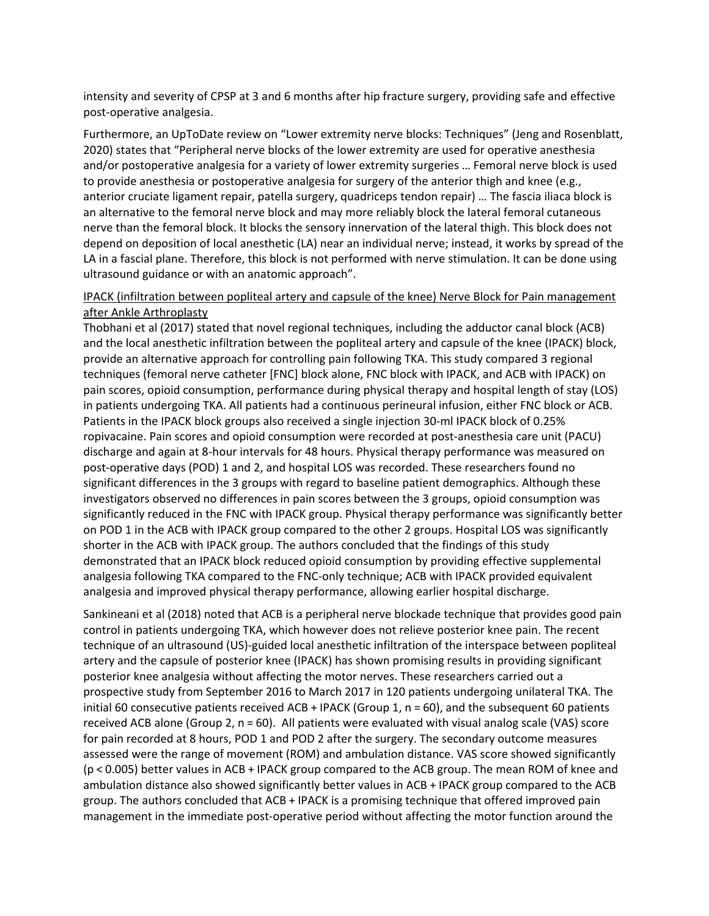intensity and severity of CPSP at 3 and 6 months after hip fracture surgery, providing safe and effective post-operative analgesia.

Furthermore, an UpToDate review on "Lower extremity nerve blocks: Techniques" (Jeng and Rosenblatt, 2020) states that "Peripheral nerve blocks of the lower extremity are used for operative anesthesia and/or postoperative analgesia for a variety of lower extremity surgeries … Femoral nerve block is used to provide anesthesia or postoperative analgesia for surgery of the anterior thigh and knee (e.g., anterior cruciate ligament repair, patella surgery, quadriceps tendon repair) … The fascia iliaca block is an alternative to the femoral nerve block and may more reliably block the lateral femoral cutaneous nerve than the femoral block. It blocks the sensory innervation of the lateral thigh. This block does not depend on deposition of local anesthetic (LA) near an individual nerve; instead, it works by spread of the LA in a fascial plane. Therefore, this block is not performed with nerve stimulation. It can be done using ultrasound guidance or with an anatomic approach".

#### IPACK (infiltration between popliteal artery and capsule of the knee) Nerve Block for Pain management after Ankle Arthroplasty

Thobhani et al (2017) stated that novel regional techniques, including the adductor canal block (ACB) and the local anesthetic infiltration between the popliteal artery and capsule of the knee (IPACK) block, provide an alternative approach for controlling pain following TKA. This study compared 3 regional techniques (femoral nerve catheter [FNC] block alone, FNC block with IPACK, and ACB with IPACK) on pain scores, opioid consumption, performance during physical therapy and hospital length of stay (LOS) in patients undergoing TKA. All patients had a continuous perineural infusion, either FNC block or ACB. Patients in the IPACK block groups also received a single injection 30-ml IPACK block of 0.25% ropivacaine. Pain scores and opioid consumption were recorded at post-anesthesia care unit (PACU) discharge and again at 8-hour intervals for 48 hours. Physical therapy performance was measured on post-operative days (POD) 1 and 2, and hospital LOS was recorded. These researchers found no significant differences in the 3 groups with regard to baseline patient demographics. Although these investigators observed no differences in pain scores between the 3 groups, opioid consumption was significantly reduced in the FNC with IPACK group. Physical therapy performance was significantly better on POD 1 in the ACB with IPACK group compared to the other 2 groups. Hospital LOS was significantly shorter in the ACB with IPACK group. The authors concluded that the findings of this study demonstrated that an IPACK block reduced opioid consumption by providing effective supplemental analgesia following TKA compared to the FNC-only technique; ACB with IPACK provided equivalent analgesia and improved physical therapy performance, allowing earlier hospital discharge.

Sankineani et al (2018) noted that ACB is a peripheral nerve blockade technique that provides good pain control in patients undergoing TKA, which however does not relieve posterior knee pain. The recent technique of an ultrasound (US)-guided local anesthetic infiltration of the interspace between popliteal artery and the capsule of posterior knee (IPACK) has shown promising results in providing significant posterior knee analgesia without affecting the motor nerves. These researchers carried out a prospective study from September 2016 to March 2017 in 120 patients undergoing unilateral TKA. The initial 60 consecutive patients received ACB + IPACK (Group 1, n = 60), and the subsequent 60 patients received ACB alone (Group 2, n = 60). All patients were evaluated with visual analog scale (VAS) score for pain recorded at 8 hours, POD 1 and POD 2 after the surgery. The secondary outcome measures assessed were the range of movement (ROM) and ambulation distance. VAS score showed significantly (p < 0.005) better values in ACB + IPACK group compared to the ACB group. The mean ROM of knee and ambulation distance also showed significantly better values in ACB + IPACK group compared to the ACB group. The authors concluded that ACB + IPACK is a promising technique that offered improved pain management in the immediate post-operative period without affecting the motor function around the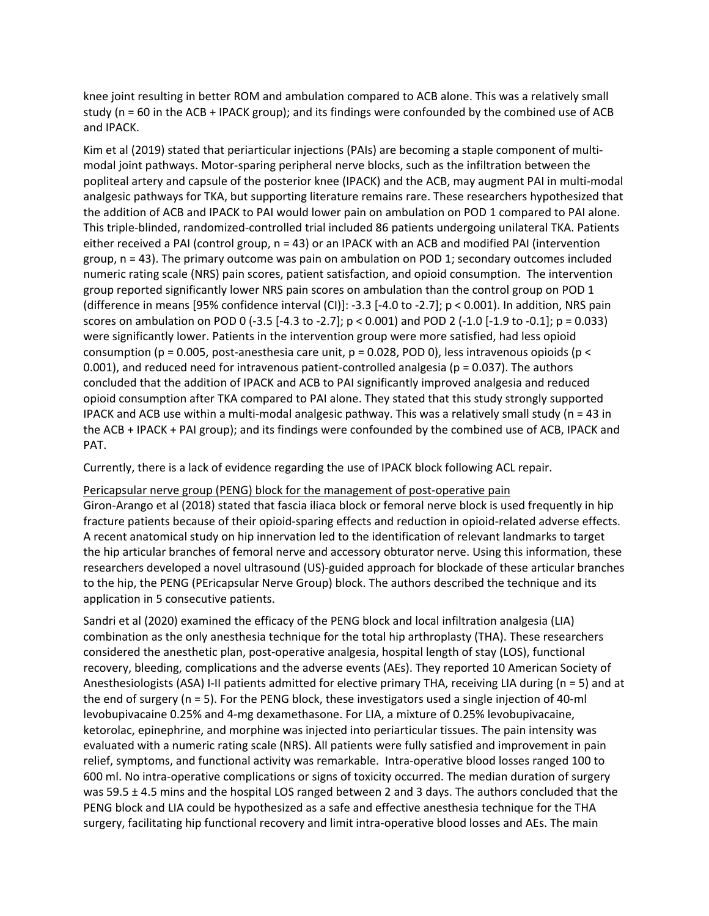knee joint resulting in better ROM and ambulation compared to ACB alone. This was a relatively small study (n = 60 in the ACB + IPACK group); and its findings were confounded by the combined use of ACB and IPACK.

Kim et al (2019) stated that periarticular injections (PAIs) are becoming a staple component of multimodal joint pathways. Motor-sparing peripheral nerve blocks, such as the infiltration between the popliteal artery and capsule of the posterior knee (IPACK) and the ACB, may augment PAI in multi-modal analgesic pathways for TKA, but supporting literature remains rare. These researchers hypothesized that the addition of ACB and IPACK to PAI would lower pain on ambulation on POD 1 compared to PAI alone. This triple-blinded, randomized-controlled trial included 86 patients undergoing unilateral TKA. Patients either received a PAI (control group, n = 43) or an IPACK with an ACB and modified PAI (intervention group, n = 43). The primary outcome was pain on ambulation on POD 1; secondary outcomes included numeric rating scale (NRS) pain scores, patient satisfaction, and opioid consumption. The intervention group reported significantly lower NRS pain scores on ambulation than the control group on POD 1 (difference in means [95% confidence interval (CI)]: -3.3 [-4.0 to -2.7]; p < 0.001). In addition, NRS pain scores on ambulation on POD 0 (-3.5 [-4.3 to -2.7]; p < 0.001) and POD 2 (-1.0 [-1.9 to -0.1]; p = 0.033) were significantly lower. Patients in the intervention group were more satisfied, had less opioid consumption (p = 0.005, post-anesthesia care unit, p = 0.028, POD 0), less intravenous opioids (p < 0.001), and reduced need for intravenous patient-controlled analgesia ( $p = 0.037$ ). The authors concluded that the addition of IPACK and ACB to PAI significantly improved analgesia and reduced opioid consumption after TKA compared to PAI alone. They stated that this study strongly supported IPACK and ACB use within a multi-modal analgesic pathway. This was a relatively small study (n = 43 in the ACB + IPACK + PAI group); and its findings were confounded by the combined use of ACB, IPACK and PAT.

Currently, there is a lack of evidence regarding the use of IPACK block following ACL repair.

#### Pericapsular nerve group (PENG) block for the management of post-operative pain

Giron-Arango et al (2018) stated that fascia iliaca block or femoral nerve block is used frequently in hip fracture patients because of their opioid-sparing effects and reduction in opioid-related adverse effects. A recent anatomical study on hip innervation led to the identification of relevant landmarks to target the hip articular branches of femoral nerve and accessory obturator nerve. Using this information, these researchers developed a novel ultrasound (US)-guided approach for blockade of these articular branches to the hip, the PENG (PEricapsular Nerve Group) block. The authors described the technique and its application in 5 consecutive patients.

Sandri et al (2020) examined the efficacy of the PENG block and local infiltration analgesia (LIA) combination as the only anesthesia technique for the total hip arthroplasty (THA). These researchers considered the anesthetic plan, post-operative analgesia, hospital length of stay (LOS), functional recovery, bleeding, complications and the adverse events (AEs). They reported 10 American Society of Anesthesiologists (ASA) I-II patients admitted for elective primary THA, receiving LIA during (n = 5) and at the end of surgery (n = 5). For the PENG block, these investigators used a single injection of 40-ml levobupivacaine 0.25% and 4-mg dexamethasone. For LIA, a mixture of 0.25% levobupivacaine, ketorolac, epinephrine, and morphine was injected into periarticular tissues. The pain intensity was evaluated with a numeric rating scale (NRS). All patients were fully satisfied and improvement in pain relief, symptoms, and functional activity was remarkable. Intra-operative blood losses ranged 100 to 600 ml. No intra-operative complications or signs of toxicity occurred. The median duration of surgery was 59.5  $\pm$  4.5 mins and the hospital LOS ranged between 2 and 3 days. The authors concluded that the PENG block and LIA could be hypothesized as a safe and effective anesthesia technique for the THA surgery, facilitating hip functional recovery and limit intra-operative blood losses and AEs. The main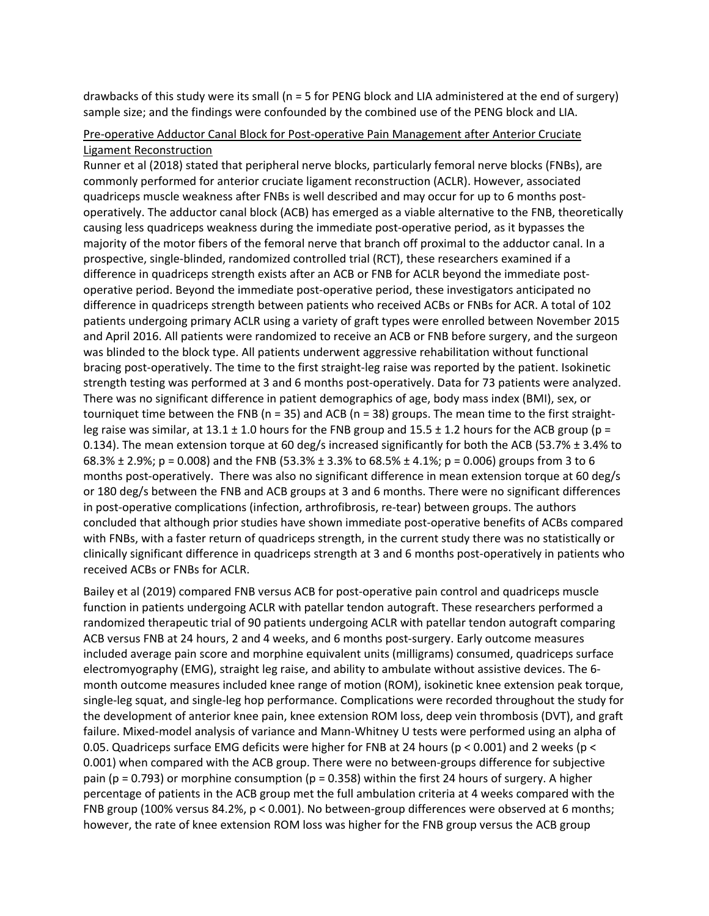drawbacks of this study were its small (n = 5 for PENG block and LIA administered at the end of surgery) sample size; and the findings were confounded by the combined use of the PENG block and LIA.

#### Pre-operative Adductor Canal Block for Post-operative Pain Management after Anterior Cruciate Ligament Reconstruction

Runner et al (2018) stated that peripheral nerve blocks, particularly femoral nerve blocks (FNBs), are commonly performed for anterior cruciate ligament reconstruction (ACLR). However, associated quadriceps muscle weakness after FNBs is well described and may occur for up to 6 months postoperatively. The adductor canal block (ACB) has emerged as a viable alternative to the FNB, theoretically causing less quadriceps weakness during the immediate post-operative period, as it bypasses the majority of the motor fibers of the femoral nerve that branch off proximal to the adductor canal. In a prospective, single-blinded, randomized controlled trial (RCT), these researchers examined if a difference in quadriceps strength exists after an ACB or FNB for ACLR beyond the immediate postoperative period. Beyond the immediate post-operative period, these investigators anticipated no difference in quadriceps strength between patients who received ACBs or FNBs for ACR. A total of 102 patients undergoing primary ACLR using a variety of graft types were enrolled between November 2015 and April 2016. All patients were randomized to receive an ACB or FNB before surgery, and the surgeon was blinded to the block type. All patients underwent aggressive rehabilitation without functional bracing post-operatively. The time to the first straight-leg raise was reported by the patient. Isokinetic strength testing was performed at 3 and 6 months post-operatively. Data for 73 patients were analyzed. There was no significant difference in patient demographics of age, body mass index (BMI), sex, or tourniquet time between the FNB ( $n = 35$ ) and ACB ( $n = 38$ ) groups. The mean time to the first straightleg raise was similar, at  $13.1 \pm 1.0$  hours for the FNB group and  $15.5 \pm 1.2$  hours for the ACB group (p = 0.134). The mean extension torque at 60 deg/s increased significantly for both the ACB (53.7% ± 3.4% to 68.3%  $\pm$  2.9%; p = 0.008) and the FNB (53.3%  $\pm$  3.3% to 68.5%  $\pm$  4.1%; p = 0.006) groups from 3 to 6 months post-operatively. There was also no significant difference in mean extension torque at 60 deg/s or 180 deg/s between the FNB and ACB groups at 3 and 6 months. There were no significant differences in post-operative complications (infection, arthrofibrosis, re-tear) between groups. The authors concluded that although prior studies have shown immediate post-operative benefits of ACBs compared with FNBs, with a faster return of quadriceps strength, in the current study there was no statistically or clinically significant difference in quadriceps strength at 3 and 6 months post-operatively in patients who received ACBs or FNBs for ACLR.

Bailey et al (2019) compared FNB versus ACB for post-operative pain control and quadriceps muscle function in patients undergoing ACLR with patellar tendon autograft. These researchers performed a randomized therapeutic trial of 90 patients undergoing ACLR with patellar tendon autograft comparing ACB versus FNB at 24 hours, 2 and 4 weeks, and 6 months post-surgery. Early outcome measures included average pain score and morphine equivalent units (milligrams) consumed, quadriceps surface electromyography (EMG), straight leg raise, and ability to ambulate without assistive devices. The 6 month outcome measures included knee range of motion (ROM), isokinetic knee extension peak torque, single-leg squat, and single-leg hop performance. Complications were recorded throughout the study for the development of anterior knee pain, knee extension ROM loss, deep vein thrombosis (DVT), and graft failure. Mixed-model analysis of variance and Mann-Whitney U tests were performed using an alpha of 0.05. Quadriceps surface EMG deficits were higher for FNB at 24 hours (p < 0.001) and 2 weeks (p < 0.001) when compared with the ACB group. There were no between-groups difference for subjective pain (p = 0.793) or morphine consumption (p = 0.358) within the first 24 hours of surgery. A higher percentage of patients in the ACB group met the full ambulation criteria at 4 weeks compared with the FNB group (100% versus 84.2%, p < 0.001). No between-group differences were observed at 6 months; however, the rate of knee extension ROM loss was higher for the FNB group versus the ACB group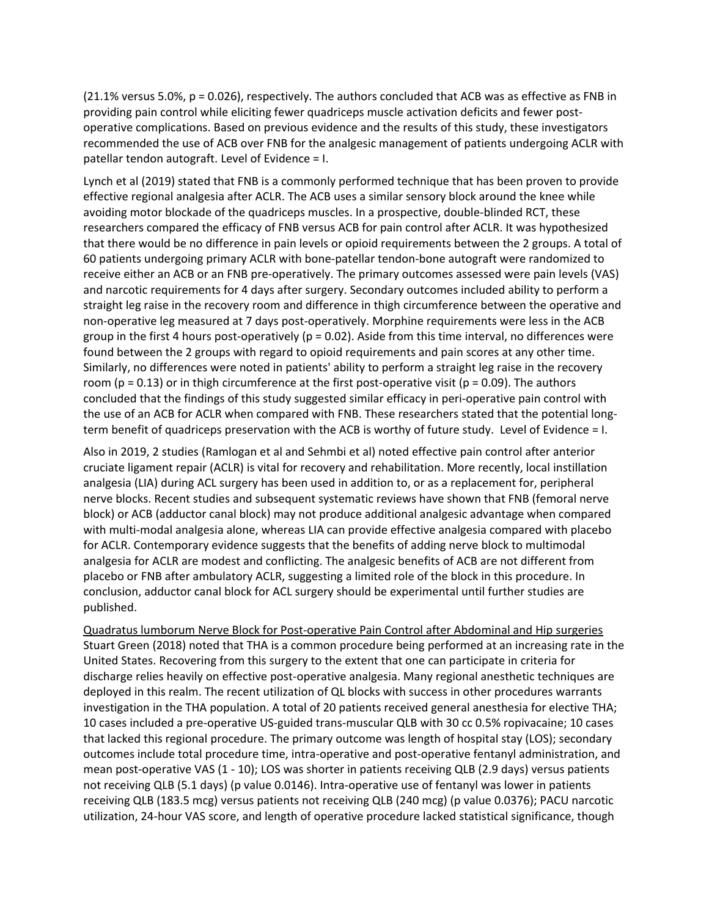(21.1% versus 5.0%, p = 0.026), respectively. The authors concluded that ACB was as effective as FNB in providing pain control while eliciting fewer quadriceps muscle activation deficits and fewer postoperative complications. Based on previous evidence and the results of this study, these investigators recommended the use of ACB over FNB for the analgesic management of patients undergoing ACLR with patellar tendon autograft. Level of Evidence = I.

Lynch et al (2019) stated that FNB is a commonly performed technique that has been proven to provide effective regional analgesia after ACLR. The ACB uses a similar sensory block around the knee while avoiding motor blockade of the quadriceps muscles. In a prospective, double-blinded RCT, these researchers compared the efficacy of FNB versus ACB for pain control after ACLR. It was hypothesized that there would be no difference in pain levels or opioid requirements between the 2 groups. A total of 60 patients undergoing primary ACLR with bone-patellar tendon-bone autograft were randomized to receive either an ACB or an FNB pre-operatively. The primary outcomes assessed were pain levels (VAS) and narcotic requirements for 4 days after surgery. Secondary outcomes included ability to perform a straight leg raise in the recovery room and difference in thigh circumference between the operative and non-operative leg measured at 7 days post-operatively. Morphine requirements were less in the ACB group in the first 4 hours post-operatively (p = 0.02). Aside from this time interval, no differences were found between the 2 groups with regard to opioid requirements and pain scores at any other time. Similarly, no differences were noted in patients' ability to perform a straight leg raise in the recovery room ( $p = 0.13$ ) or in thigh circumference at the first post-operative visit ( $p = 0.09$ ). The authors concluded that the findings of this study suggested similar efficacy in peri-operative pain control with the use of an ACB for ACLR when compared with FNB. These researchers stated that the potential longterm benefit of quadriceps preservation with the ACB is worthy of future study. Level of Evidence = I.

Also in 2019, 2 studies (Ramlogan et al and Sehmbi et al) noted effective pain control after anterior cruciate ligament repair (ACLR) is vital for recovery and rehabilitation. More recently, local instillation analgesia (LIA) during ACL surgery has been used in addition to, or as a replacement for, peripheral nerve blocks. Recent studies and subsequent systematic reviews have shown that FNB (femoral nerve block) or ACB (adductor canal block) may not produce additional analgesic advantage when compared with multi-modal analgesia alone, whereas LIA can provide effective analgesia compared with placebo for ACLR. Contemporary evidence suggests that the benefits of adding nerve block to multimodal analgesia for ACLR are modest and conflicting. The analgesic benefits of ACB are not different from placebo or FNB after ambulatory ACLR, suggesting a limited role of the block in this procedure. In conclusion, adductor canal block for ACL surgery should be experimental until further studies are published.

Quadratus lumborum Nerve Block for Post-operative Pain Control after Abdominal and Hip surgeries Stuart Green (2018) noted that THA is a common procedure being performed at an increasing rate in the United States. Recovering from this surgery to the extent that one can participate in criteria for discharge relies heavily on effective post-operative analgesia. Many regional anesthetic techniques are deployed in this realm. The recent utilization of QL blocks with success in other procedures warrants investigation in the THA population. A total of 20 patients received general anesthesia for elective THA; 10 cases included a pre-operative US-guided trans-muscular QLB with 30 cc 0.5% ropivacaine; 10 cases that lacked this regional procedure. The primary outcome was length of hospital stay (LOS); secondary outcomes include total procedure time, intra-operative and post-operative fentanyl administration, and mean post-operative VAS (1 - 10); LOS was shorter in patients receiving QLB (2.9 days) versus patients not receiving QLB (5.1 days) (p value 0.0146). Intra-operative use of fentanyl was lower in patients receiving QLB (183.5 mcg) versus patients not receiving QLB (240 mcg) (p value 0.0376); PACU narcotic utilization, 24-hour VAS score, and length of operative procedure lacked statistical significance, though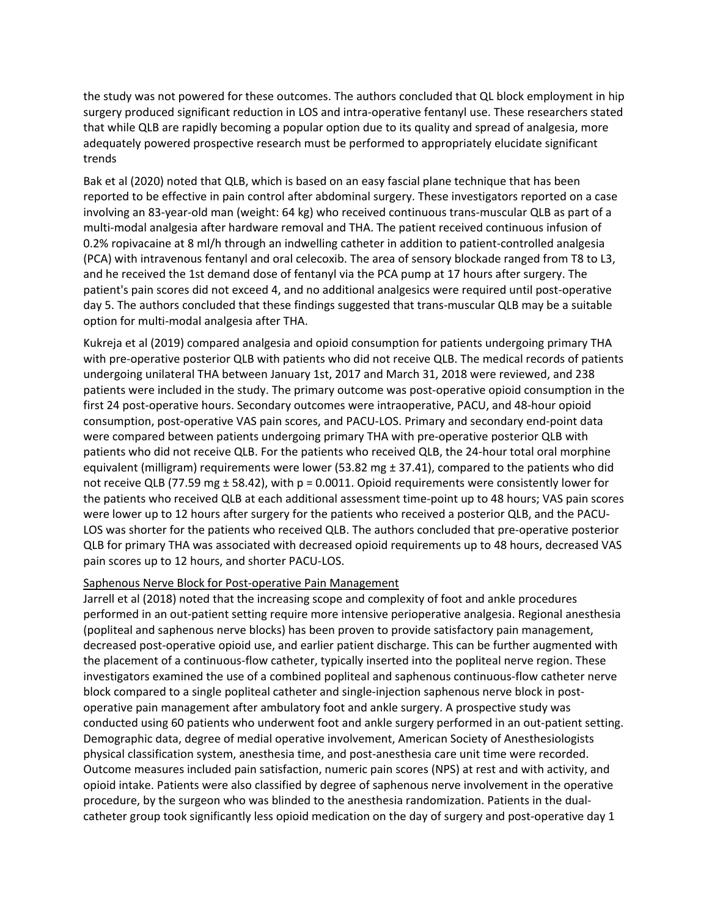the study was not powered for these outcomes. The authors concluded that QL block employment in hip surgery produced significant reduction in LOS and intra-operative fentanyl use. These researchers stated that while QLB are rapidly becoming a popular option due to its quality and spread of analgesia, more adequately powered prospective research must be performed to appropriately elucidate significant trends

Bak et al (2020) noted that QLB, which is based on an easy fascial plane technique that has been reported to be effective in pain control after abdominal surgery. These investigators reported on a case involving an 83-year-old man (weight: 64 kg) who received continuous trans-muscular QLB as part of a multi-modal analgesia after hardware removal and THA. The patient received continuous infusion of 0.2% ropivacaine at 8 ml/h through an indwelling catheter in addition to patient-controlled analgesia (PCA) with intravenous fentanyl and oral celecoxib. The area of sensory blockade ranged from T8 to L3, and he received the 1st demand dose of fentanyl via the PCA pump at 17 hours after surgery. The patient's pain scores did not exceed 4, and no additional analgesics were required until post-operative day 5. The authors concluded that these findings suggested that trans-muscular QLB may be a suitable option for multi-modal analgesia after THA.

Kukreja et al (2019) compared analgesia and opioid consumption for patients undergoing primary THA with pre-operative posterior QLB with patients who did not receive QLB. The medical records of patients undergoing unilateral THA between January 1st, 2017 and March 31, 2018 were reviewed, and 238 patients were included in the study. The primary outcome was post-operative opioid consumption in the first 24 post-operative hours. Secondary outcomes were intraoperative, PACU, and 48-hour opioid consumption, post-operative VAS pain scores, and PACU-LOS. Primary and secondary end-point data were compared between patients undergoing primary THA with pre-operative posterior QLB with patients who did not receive QLB. For the patients who received QLB, the 24-hour total oral morphine equivalent (milligram) requirements were lower (53.82 mg  $\pm$  37.41), compared to the patients who did not receive QLB (77.59 mg ± 58.42), with p = 0.0011. Opioid requirements were consistently lower for the patients who received QLB at each additional assessment time-point up to 48 hours; VAS pain scores were lower up to 12 hours after surgery for the patients who received a posterior QLB, and the PACU-LOS was shorter for the patients who received QLB. The authors concluded that pre-operative posterior QLB for primary THA was associated with decreased opioid requirements up to 48 hours, decreased VAS pain scores up to 12 hours, and shorter PACU-LOS.

#### Saphenous Nerve Block for Post-operative Pain Management

Jarrell et al (2018) noted that the increasing scope and complexity of foot and ankle procedures performed in an out-patient setting require more intensive perioperative analgesia. Regional anesthesia (popliteal and saphenous nerve blocks) has been proven to provide satisfactory pain management, decreased post-operative opioid use, and earlier patient discharge. This can be further augmented with the placement of a continuous-flow catheter, typically inserted into the popliteal nerve region. These investigators examined the use of a combined popliteal and saphenous continuous-flow catheter nerve block compared to a single popliteal catheter and single-injection saphenous nerve block in postoperative pain management after ambulatory foot and ankle surgery. A prospective study was conducted using 60 patients who underwent foot and ankle surgery performed in an out-patient setting. Demographic data, degree of medial operative involvement, American Society of Anesthesiologists physical classification system, anesthesia time, and post-anesthesia care unit time were recorded. Outcome measures included pain satisfaction, numeric pain scores (NPS) at rest and with activity, and opioid intake. Patients were also classified by degree of saphenous nerve involvement in the operative procedure, by the surgeon who was blinded to the anesthesia randomization. Patients in the dualcatheter group took significantly less opioid medication on the day of surgery and post-operative day 1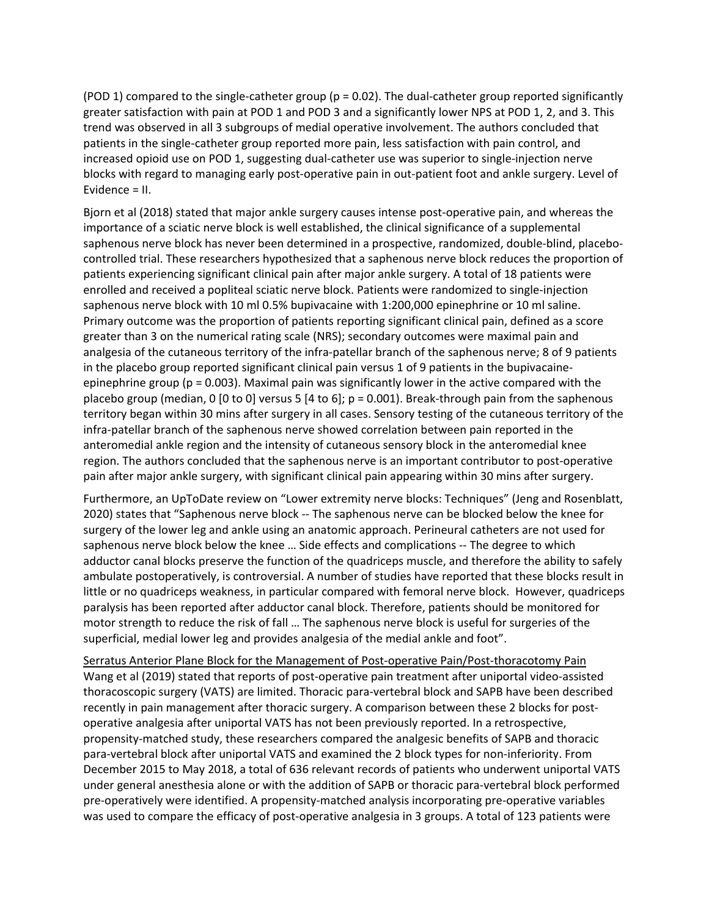(POD 1) compared to the single-catheter group ( $p = 0.02$ ). The dual-catheter group reported significantly greater satisfaction with pain at POD 1 and POD 3 and a significantly lower NPS at POD 1, 2, and 3. This trend was observed in all 3 subgroups of medial operative involvement. The authors concluded that patients in the single-catheter group reported more pain, less satisfaction with pain control, and increased opioid use on POD 1, suggesting dual-catheter use was superior to single-injection nerve blocks with regard to managing early post-operative pain in out-patient foot and ankle surgery. Level of Evidence = II.

Bjorn et al (2018) stated that major ankle surgery causes intense post-operative pain, and whereas the importance of a sciatic nerve block is well established, the clinical significance of a supplemental saphenous nerve block has never been determined in a prospective, randomized, double-blind, placebocontrolled trial. These researchers hypothesized that a saphenous nerve block reduces the proportion of patients experiencing significant clinical pain after major ankle surgery. A total of 18 patients were enrolled and received a popliteal sciatic nerve block. Patients were randomized to single-injection saphenous nerve block with 10 ml 0.5% bupivacaine with 1:200,000 epinephrine or 10 ml saline. Primary outcome was the proportion of patients reporting significant clinical pain, defined as a score greater than 3 on the numerical rating scale (NRS); secondary outcomes were maximal pain and analgesia of the cutaneous territory of the infra-patellar branch of the saphenous nerve; 8 of 9 patients in the placebo group reported significant clinical pain versus 1 of 9 patients in the bupivacaineepinephrine group (p = 0.003). Maximal pain was significantly lower in the active compared with the placebo group (median, 0 [0 to 0] versus 5 [4 to 6]; p = 0.001). Break-through pain from the saphenous territory began within 30 mins after surgery in all cases. Sensory testing of the cutaneous territory of the infra-patellar branch of the saphenous nerve showed correlation between pain reported in the anteromedial ankle region and the intensity of cutaneous sensory block in the anteromedial knee region. The authors concluded that the saphenous nerve is an important contributor to post-operative pain after major ankle surgery, with significant clinical pain appearing within 30 mins after surgery.

Furthermore, an UpToDate review on "Lower extremity nerve blocks: Techniques" (Jeng and Rosenblatt, 2020) states that "Saphenous nerve block -- The saphenous nerve can be blocked below the knee for surgery of the lower leg and ankle using an anatomic approach. Perineural catheters are not used for saphenous nerve block below the knee … Side effects and complications -- The degree to which adductor canal blocks preserve the function of the quadriceps muscle, and therefore the ability to safely ambulate postoperatively, is controversial. A number of studies have reported that these blocks result in little or no quadriceps weakness, in particular compared with femoral nerve block. However, quadriceps paralysis has been reported after adductor canal block. Therefore, patients should be monitored for motor strength to reduce the risk of fall … The saphenous nerve block is useful for surgeries of the superficial, medial lower leg and provides analgesia of the medial ankle and foot".

Serratus Anterior Plane Block for the Management of Post-operative Pain/Post-thoracotomy Pain Wang et al (2019) stated that reports of post-operative pain treatment after uniportal video-assisted thoracoscopic surgery (VATS) are limited. Thoracic para-vertebral block and SAPB have been described recently in pain management after thoracic surgery. A comparison between these 2 blocks for postoperative analgesia after uniportal VATS has not been previously reported. In a retrospective, propensity-matched study, these researchers compared the analgesic benefits of SAPB and thoracic para-vertebral block after uniportal VATS and examined the 2 block types for non-inferiority. From December 2015 to May 2018, a total of 636 relevant records of patients who underwent uniportal VATS under general anesthesia alone or with the addition of SAPB or thoracic para-vertebral block performed pre-operatively were identified. A propensity-matched analysis incorporating pre-operative variables was used to compare the efficacy of post-operative analgesia in 3 groups. A total of 123 patients were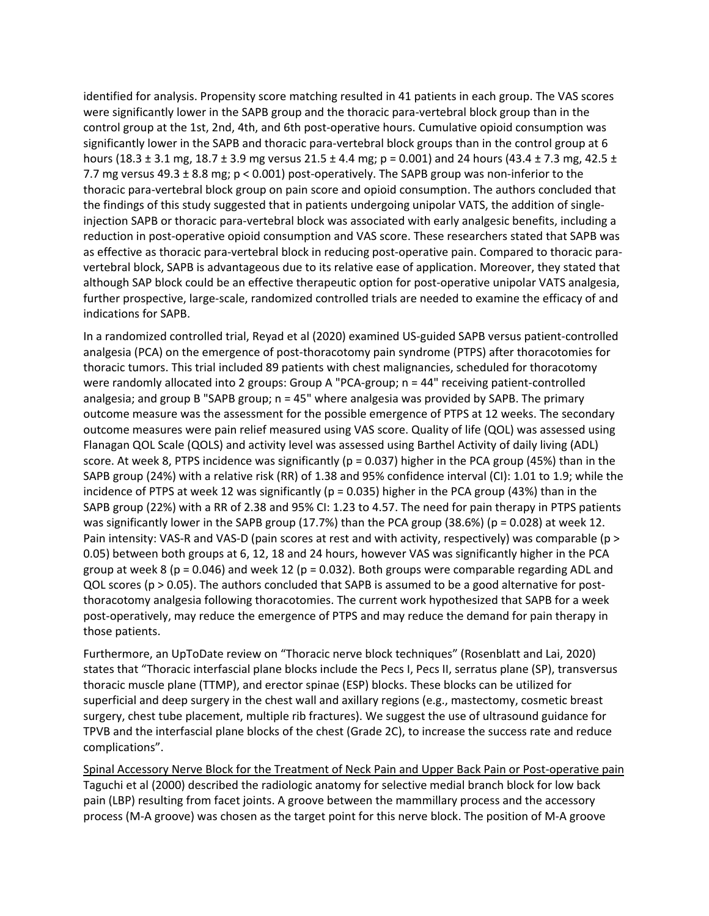identified for analysis. Propensity score matching resulted in 41 patients in each group. The VAS scores were significantly lower in the SAPB group and the thoracic para-vertebral block group than in the control group at the 1st, 2nd, 4th, and 6th post-operative hours. Cumulative opioid consumption was significantly lower in the SAPB and thoracic para-vertebral block groups than in the control group at 6 hours (18.3 ± 3.1 mg, 18.7 ± 3.9 mg versus 21.5 ± 4.4 mg; p = 0.001) and 24 hours (43.4 ± 7.3 mg, 42.5 ± 7.7 mg versus 49.3 ± 8.8 mg; p < 0.001) post-operatively. The SAPB group was non-inferior to the thoracic para-vertebral block group on pain score and opioid consumption. The authors concluded that the findings of this study suggested that in patients undergoing unipolar VATS, the addition of singleinjection SAPB or thoracic para-vertebral block was associated with early analgesic benefits, including a reduction in post-operative opioid consumption and VAS score. These researchers stated that SAPB was as effective as thoracic para-vertebral block in reducing post-operative pain. Compared to thoracic paravertebral block, SAPB is advantageous due to its relative ease of application. Moreover, they stated that although SAP block could be an effective therapeutic option for post-operative unipolar VATS analgesia, further prospective, large-scale, randomized controlled trials are needed to examine the efficacy of and indications for SAPB.

In a randomized controlled trial, Reyad et al (2020) examined US-guided SAPB versus patient-controlled analgesia (PCA) on the emergence of post-thoracotomy pain syndrome (PTPS) after thoracotomies for thoracic tumors. This trial included 89 patients with chest malignancies, scheduled for thoracotomy were randomly allocated into 2 groups: Group A "PCA-group; n = 44" receiving patient-controlled analgesia; and group B "SAPB group; n = 45" where analgesia was provided by SAPB. The primary outcome measure was the assessment for the possible emergence of PTPS at 12 weeks. The secondary outcome measures were pain relief measured using VAS score. Quality of life (QOL) was assessed using Flanagan QOL Scale (QOLS) and activity level was assessed using Barthel Activity of daily living (ADL) score. At week 8, PTPS incidence was significantly ( $p = 0.037$ ) higher in the PCA group (45%) than in the SAPB group (24%) with a relative risk (RR) of 1.38 and 95% confidence interval (CI): 1.01 to 1.9; while the incidence of PTPS at week 12 was significantly ( $p = 0.035$ ) higher in the PCA group (43%) than in the SAPB group (22%) with a RR of 2.38 and 95% CI: 1.23 to 4.57. The need for pain therapy in PTPS patients was significantly lower in the SAPB group (17.7%) than the PCA group (38.6%) (p = 0.028) at week 12. Pain intensity: VAS-R and VAS-D (pain scores at rest and with activity, respectively) was comparable (p > 0.05) between both groups at 6, 12, 18 and 24 hours, however VAS was significantly higher in the PCA group at week 8 ( $p = 0.046$ ) and week 12 ( $p = 0.032$ ). Both groups were comparable regarding ADL and QOL scores (p > 0.05). The authors concluded that SAPB is assumed to be a good alternative for postthoracotomy analgesia following thoracotomies. The current work hypothesized that SAPB for a week post-operatively, may reduce the emergence of PTPS and may reduce the demand for pain therapy in those patients.

Furthermore, an UpToDate review on "Thoracic nerve block techniques" (Rosenblatt and Lai, 2020) states that "Thoracic interfascial plane blocks include the Pecs I, Pecs II, serratus plane (SP), transversus thoracic muscle plane (TTMP), and erector spinae (ESP) blocks. These blocks can be utilized for superficial and deep surgery in the chest wall and axillary regions (e.g., mastectomy, cosmetic breast surgery, chest tube placement, multiple rib fractures). We suggest the use of ultrasound guidance for TPVB and the interfascial plane blocks of the chest (Grade 2C), to increase the success rate and reduce complications".

Spinal Accessory Nerve Block for the Treatment of Neck Pain and Upper Back Pain or Post-operative pain Taguchi et al (2000) described the radiologic anatomy for selective medial branch block for low back pain (LBP) resulting from facet joints. A groove between the mammillary process and the accessory process (M-A groove) was chosen as the target point for this nerve block. The position of M-A groove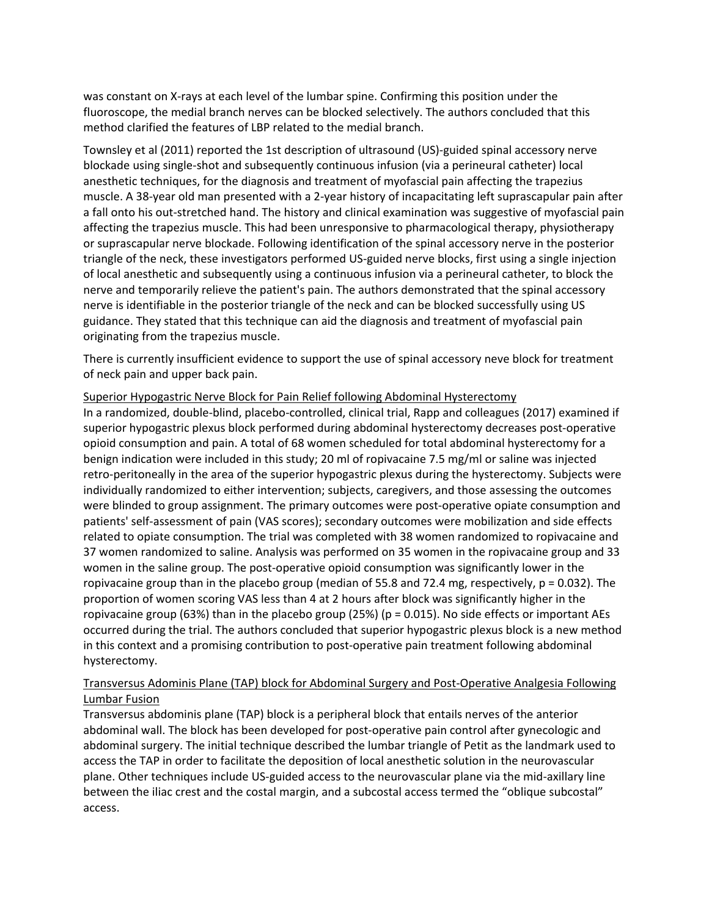was constant on X-rays at each level of the lumbar spine. Confirming this position under the fluoroscope, the medial branch nerves can be blocked selectively. The authors concluded that this method clarified the features of LBP related to the medial branch.

Townsley et al (2011) reported the 1st description of ultrasound (US)-guided spinal accessory nerve blockade using single-shot and subsequently continuous infusion (via a perineural catheter) local anesthetic techniques, for the diagnosis and treatment of myofascial pain affecting the trapezius muscle. A 38-year old man presented with a 2-year history of incapacitating left suprascapular pain after a fall onto his out-stretched hand. The history and clinical examination was suggestive of myofascial pain affecting the trapezius muscle. This had been unresponsive to pharmacological therapy, physiotherapy or suprascapular nerve blockade. Following identification of the spinal accessory nerve in the posterior triangle of the neck, these investigators performed US-guided nerve blocks, first using a single injection of local anesthetic and subsequently using a continuous infusion via a perineural catheter, to block the nerve and temporarily relieve the patient's pain. The authors demonstrated that the spinal accessory nerve is identifiable in the posterior triangle of the neck and can be blocked successfully using US guidance. They stated that this technique can aid the diagnosis and treatment of myofascial pain originating from the trapezius muscle.

There is currently insufficient evidence to support the use of spinal accessory neve block for treatment of neck pain and upper back pain.

#### Superior Hypogastric Nerve Block for Pain Relief following Abdominal Hysterectomy

In a randomized, double-blind, placebo-controlled, clinical trial, Rapp and colleagues (2017) examined if superior hypogastric plexus block performed during abdominal hysterectomy decreases post-operative opioid consumption and pain. A total of 68 women scheduled for total abdominal hysterectomy for a benign indication were included in this study; 20 ml of ropivacaine 7.5 mg/ml or saline was injected retro-peritoneally in the area of the superior hypogastric plexus during the hysterectomy. Subjects were individually randomized to either intervention; subjects, caregivers, and those assessing the outcomes were blinded to group assignment. The primary outcomes were post-operative opiate consumption and patients' self-assessment of pain (VAS scores); secondary outcomes were mobilization and side effects related to opiate consumption. The trial was completed with 38 women randomized to ropivacaine and 37 women randomized to saline. Analysis was performed on 35 women in the ropivacaine group and 33 women in the saline group. The post-operative opioid consumption was significantly lower in the ropivacaine group than in the placebo group (median of 55.8 and 72.4 mg, respectively, p = 0.032). The proportion of women scoring VAS less than 4 at 2 hours after block was significantly higher in the ropivacaine group (63%) than in the placebo group (25%) ( $p = 0.015$ ). No side effects or important AEs occurred during the trial. The authors concluded that superior hypogastric plexus block is a new method in this context and a promising contribution to post-operative pain treatment following abdominal hysterectomy.

#### Transversus Adominis Plane (TAP) block for Abdominal Surgery and Post-Operative Analgesia Following Lumbar Fusion

Transversus abdominis plane (TAP) block is a peripheral block that entails nerves of the anterior abdominal wall. The block has been developed for post-operative pain control after gynecologic and abdominal surgery. The initial technique described the lumbar triangle of Petit as the landmark used to access the TAP in order to facilitate the deposition of local anesthetic solution in the neurovascular plane. Other techniques include US-guided access to the neurovascular plane via the mid-axillary line between the iliac crest and the costal margin, and a subcostal access termed the "oblique subcostal" access.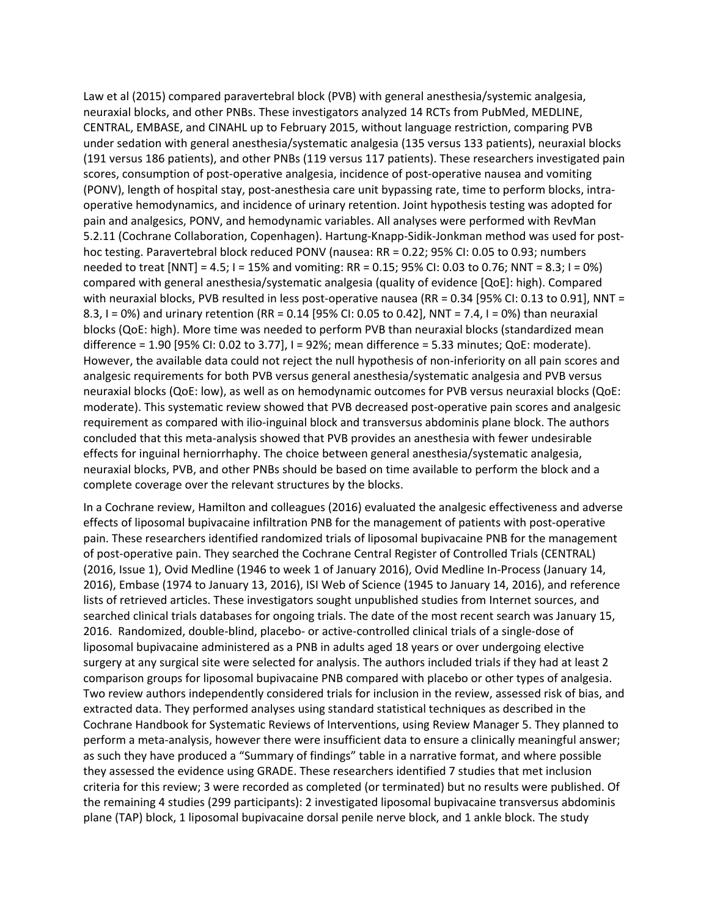Law et al (2015) compared paravertebral block (PVB) with general anesthesia/systemic analgesia, neuraxial blocks, and other PNBs. These investigators analyzed 14 RCTs from PubMed, MEDLINE, CENTRAL, EMBASE, and CINAHL up to February 2015, without language restriction, comparing PVB under sedation with general anesthesia/systematic analgesia (135 versus 133 patients), neuraxial blocks (191 versus 186 patients), and other PNBs (119 versus 117 patients). These researchers investigated pain scores, consumption of post-operative analgesia, incidence of post-operative nausea and vomiting (PONV), length of hospital stay, post-anesthesia care unit bypassing rate, time to perform blocks, intraoperative hemodynamics, and incidence of urinary retention. Joint hypothesis testing was adopted for pain and analgesics, PONV, and hemodynamic variables. All analyses were performed with RevMan 5.2.11 (Cochrane Collaboration, Copenhagen). Hartung-Knapp-Sidik-Jonkman method was used for posthoc testing. Paravertebral block reduced PONV (nausea: RR = 0.22; 95% CI: 0.05 to 0.93; numbers needed to treat [NNT] = 4.5; I = 15% and vomiting: RR = 0.15; 95% CI: 0.03 to 0.76; NNT = 8.3; I = 0%) compared with general anesthesia/systematic analgesia (quality of evidence [QoE]: high). Compared with neuraxial blocks, PVB resulted in less post-operative nausea (RR = 0.34 [95% CI: 0.13 to 0.91], NNT = 8.3, I = 0%) and urinary retention (RR = 0.14 [95% CI: 0.05 to 0.42], NNT = 7.4, I = 0%) than neuraxial blocks (QoE: high). More time was needed to perform PVB than neuraxial blocks (standardized mean difference = 1.90 [95% CI: 0.02 to 3.77], I = 92%; mean difference = 5.33 minutes; QoE: moderate). However, the available data could not reject the null hypothesis of non-inferiority on all pain scores and analgesic requirements for both PVB versus general anesthesia/systematic analgesia and PVB versus neuraxial blocks (QoE: low), as well as on hemodynamic outcomes for PVB versus neuraxial blocks (QoE: moderate). This systematic review showed that PVB decreased post-operative pain scores and analgesic requirement as compared with ilio-inguinal block and transversus abdominis plane block. The authors concluded that this meta-analysis showed that PVB provides an anesthesia with fewer undesirable effects for inguinal herniorrhaphy. The choice between general anesthesia/systematic analgesia, neuraxial blocks, PVB, and other PNBs should be based on time available to perform the block and a complete coverage over the relevant structures by the blocks.

In a Cochrane review, Hamilton and colleagues (2016) evaluated the analgesic effectiveness and adverse effects of liposomal bupivacaine infiltration PNB for the management of patients with post-operative pain. These researchers identified randomized trials of liposomal bupivacaine PNB for the management of post-operative pain. They searched the Cochrane Central Register of Controlled Trials (CENTRAL) (2016, Issue 1), Ovid Medline (1946 to week 1 of January 2016), Ovid Medline In-Process (January 14, 2016), Embase (1974 to January 13, 2016), ISI Web of Science (1945 to January 14, 2016), and reference lists of retrieved articles. These investigators sought unpublished studies from Internet sources, and searched clinical trials databases for ongoing trials. The date of the most recent search was January 15, 2016. Randomized, double-blind, placebo- or active-controlled clinical trials of a single-dose of liposomal bupivacaine administered as a PNB in adults aged 18 years or over undergoing elective surgery at any surgical site were selected for analysis. The authors included trials if they had at least 2 comparison groups for liposomal bupivacaine PNB compared with placebo or other types of analgesia. Two review authors independently considered trials for inclusion in the review, assessed risk of bias, and extracted data. They performed analyses using standard statistical techniques as described in the Cochrane Handbook for Systematic Reviews of Interventions, using Review Manager 5. They planned to perform a meta-analysis, however there were insufficient data to ensure a clinically meaningful answer; as such they have produced a "Summary of findings" table in a narrative format, and where possible they assessed the evidence using GRADE. These researchers identified 7 studies that met inclusion criteria for this review; 3 were recorded as completed (or terminated) but no results were published. Of the remaining 4 studies (299 participants): 2 investigated liposomal bupivacaine transversus abdominis plane (TAP) block, 1 liposomal bupivacaine dorsal penile nerve block, and 1 ankle block. The study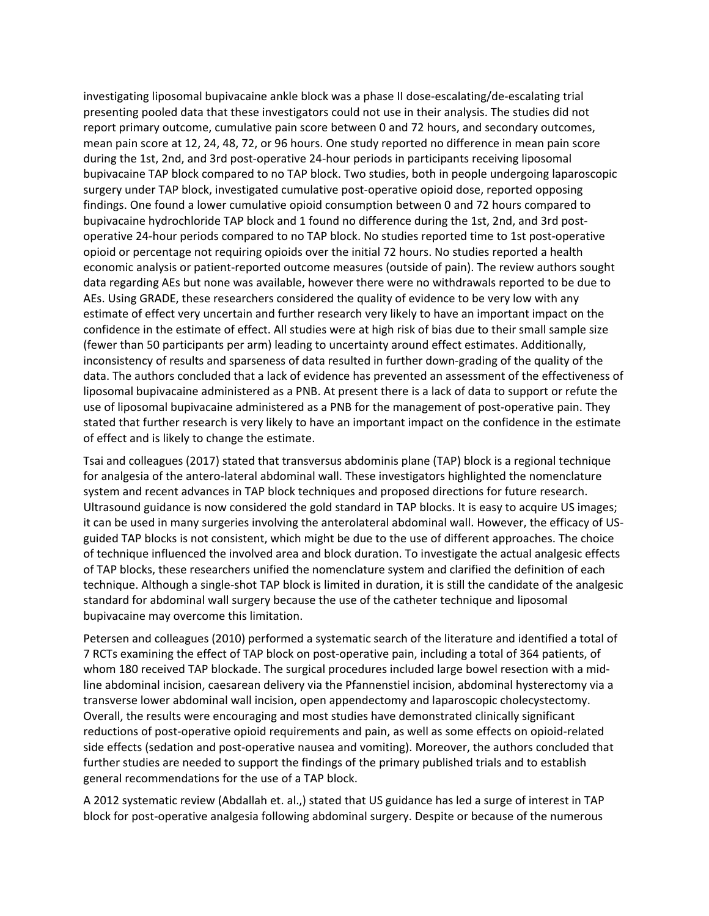investigating liposomal bupivacaine ankle block was a phase II dose-escalating/de-escalating trial presenting pooled data that these investigators could not use in their analysis. The studies did not report primary outcome, cumulative pain score between 0 and 72 hours, and secondary outcomes, mean pain score at 12, 24, 48, 72, or 96 hours. One study reported no difference in mean pain score during the 1st, 2nd, and 3rd post-operative 24-hour periods in participants receiving liposomal bupivacaine TAP block compared to no TAP block. Two studies, both in people undergoing laparoscopic surgery under TAP block, investigated cumulative post-operative opioid dose, reported opposing findings. One found a lower cumulative opioid consumption between 0 and 72 hours compared to bupivacaine hydrochloride TAP block and 1 found no difference during the 1st, 2nd, and 3rd postoperative 24-hour periods compared to no TAP block. No studies reported time to 1st post-operative opioid or percentage not requiring opioids over the initial 72 hours. No studies reported a health economic analysis or patient-reported outcome measures (outside of pain). The review authors sought data regarding AEs but none was available, however there were no withdrawals reported to be due to AEs. Using GRADE, these researchers considered the quality of evidence to be very low with any estimate of effect very uncertain and further research very likely to have an important impact on the confidence in the estimate of effect. All studies were at high risk of bias due to their small sample size (fewer than 50 participants per arm) leading to uncertainty around effect estimates. Additionally, inconsistency of results and sparseness of data resulted in further down-grading of the quality of the data. The authors concluded that a lack of evidence has prevented an assessment of the effectiveness of liposomal bupivacaine administered as a PNB. At present there is a lack of data to support or refute the use of liposomal bupivacaine administered as a PNB for the management of post-operative pain. They stated that further research is very likely to have an important impact on the confidence in the estimate of effect and is likely to change the estimate.

Tsai and colleagues (2017) stated that transversus abdominis plane (TAP) block is a regional technique for analgesia of the antero-lateral abdominal wall. These investigators highlighted the nomenclature system and recent advances in TAP block techniques and proposed directions for future research. Ultrasound guidance is now considered the gold standard in TAP blocks. It is easy to acquire US images; it can be used in many surgeries involving the anterolateral abdominal wall. However, the efficacy of USguided TAP blocks is not consistent, which might be due to the use of different approaches. The choice of technique influenced the involved area and block duration. To investigate the actual analgesic effects of TAP blocks, these researchers unified the nomenclature system and clarified the definition of each technique. Although a single-shot TAP block is limited in duration, it is still the candidate of the analgesic standard for abdominal wall surgery because the use of the catheter technique and liposomal bupivacaine may overcome this limitation.

Petersen and colleagues (2010) performed a systematic search of the literature and identified a total of 7 RCTs examining the effect of TAP block on post-operative pain, including a total of 364 patients, of whom 180 received TAP blockade. The surgical procedures included large bowel resection with a midline abdominal incision, caesarean delivery via the Pfannenstiel incision, abdominal hysterectomy via a transverse lower abdominal wall incision, open appendectomy and laparoscopic cholecystectomy. Overall, the results were encouraging and most studies have demonstrated clinically significant reductions of post-operative opioid requirements and pain, as well as some effects on opioid-related side effects (sedation and post-operative nausea and vomiting). Moreover, the authors concluded that further studies are needed to support the findings of the primary published trials and to establish general recommendations for the use of a TAP block.

A 2012 systematic review (Abdallah et. al.,) stated that US guidance has led a surge of interest in TAP block for post-operative analgesia following abdominal surgery. Despite or because of the numerous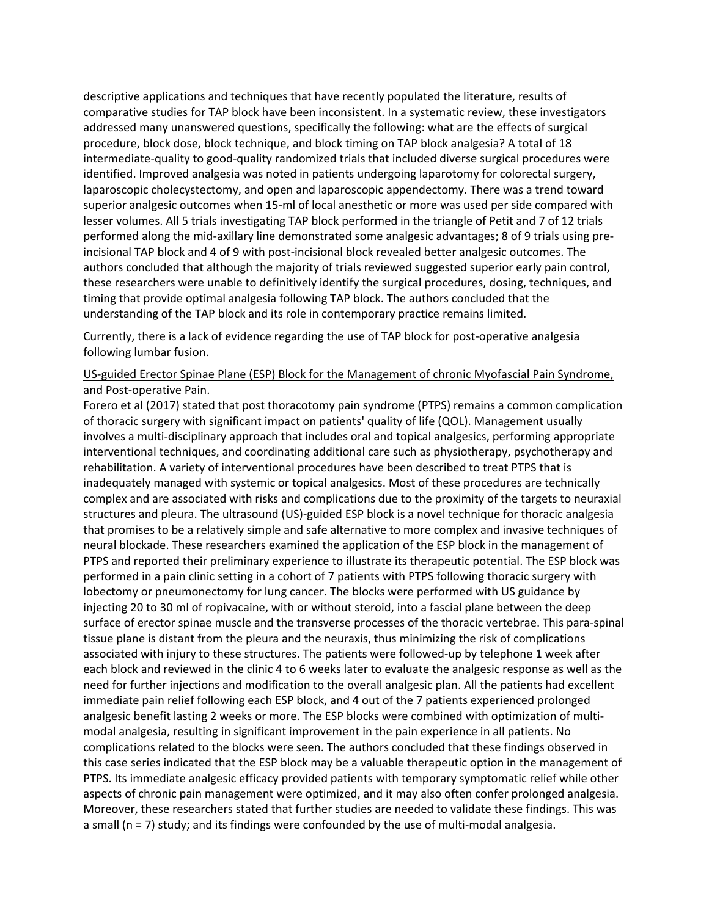descriptive applications and techniques that have recently populated the literature, results of comparative studies for TAP block have been inconsistent. In a systematic review, these investigators addressed many unanswered questions, specifically the following: what are the effects of surgical procedure, block dose, block technique, and block timing on TAP block analgesia? A total of 18 intermediate-quality to good-quality randomized trials that included diverse surgical procedures were identified. Improved analgesia was noted in patients undergoing laparotomy for colorectal surgery, laparoscopic cholecystectomy, and open and laparoscopic appendectomy. There was a trend toward superior analgesic outcomes when 15-ml of local anesthetic or more was used per side compared with lesser volumes. All 5 trials investigating TAP block performed in the triangle of Petit and 7 of 12 trials performed along the mid-axillary line demonstrated some analgesic advantages; 8 of 9 trials using preincisional TAP block and 4 of 9 with post-incisional block revealed better analgesic outcomes. The authors concluded that although the majority of trials reviewed suggested superior early pain control, these researchers were unable to definitively identify the surgical procedures, dosing, techniques, and timing that provide optimal analgesia following TAP block. The authors concluded that the understanding of the TAP block and its role in contemporary practice remains limited.

Currently, there is a lack of evidence regarding the use of TAP block for post-operative analgesia following lumbar fusion.

#### US-guided Erector Spinae Plane (ESP) Block for the Management of chronic Myofascial Pain Syndrome, and Post-operative Pain.

Forero et al (2017) stated that post thoracotomy pain syndrome (PTPS) remains a common complication of thoracic surgery with significant impact on patients' quality of life (QOL). Management usually involves a multi-disciplinary approach that includes oral and topical analgesics, performing appropriate interventional techniques, and coordinating additional care such as physiotherapy, psychotherapy and rehabilitation. A variety of interventional procedures have been described to treat PTPS that is inadequately managed with systemic or topical analgesics. Most of these procedures are technically complex and are associated with risks and complications due to the proximity of the targets to neuraxial structures and pleura. The ultrasound (US)-guided ESP block is a novel technique for thoracic analgesia that promises to be a relatively simple and safe alternative to more complex and invasive techniques of neural blockade. These researchers examined the application of the ESP block in the management of PTPS and reported their preliminary experience to illustrate its therapeutic potential. The ESP block was performed in a pain clinic setting in a cohort of 7 patients with PTPS following thoracic surgery with lobectomy or pneumonectomy for lung cancer. The blocks were performed with US guidance by injecting 20 to 30 ml of ropivacaine, with or without steroid, into a fascial plane between the deep surface of erector spinae muscle and the transverse processes of the thoracic vertebrae. This para-spinal tissue plane is distant from the pleura and the neuraxis, thus minimizing the risk of complications associated with injury to these structures. The patients were followed-up by telephone 1 week after each block and reviewed in the clinic 4 to 6 weeks later to evaluate the analgesic response as well as the need for further injections and modification to the overall analgesic plan. All the patients had excellent immediate pain relief following each ESP block, and 4 out of the 7 patients experienced prolonged analgesic benefit lasting 2 weeks or more. The ESP blocks were combined with optimization of multimodal analgesia, resulting in significant improvement in the pain experience in all patients. No complications related to the blocks were seen. The authors concluded that these findings observed in this case series indicated that the ESP block may be a valuable therapeutic option in the management of PTPS. Its immediate analgesic efficacy provided patients with temporary symptomatic relief while other aspects of chronic pain management were optimized, and it may also often confer prolonged analgesia. Moreover, these researchers stated that further studies are needed to validate these findings. This was a small (n = 7) study; and its findings were confounded by the use of multi-modal analgesia.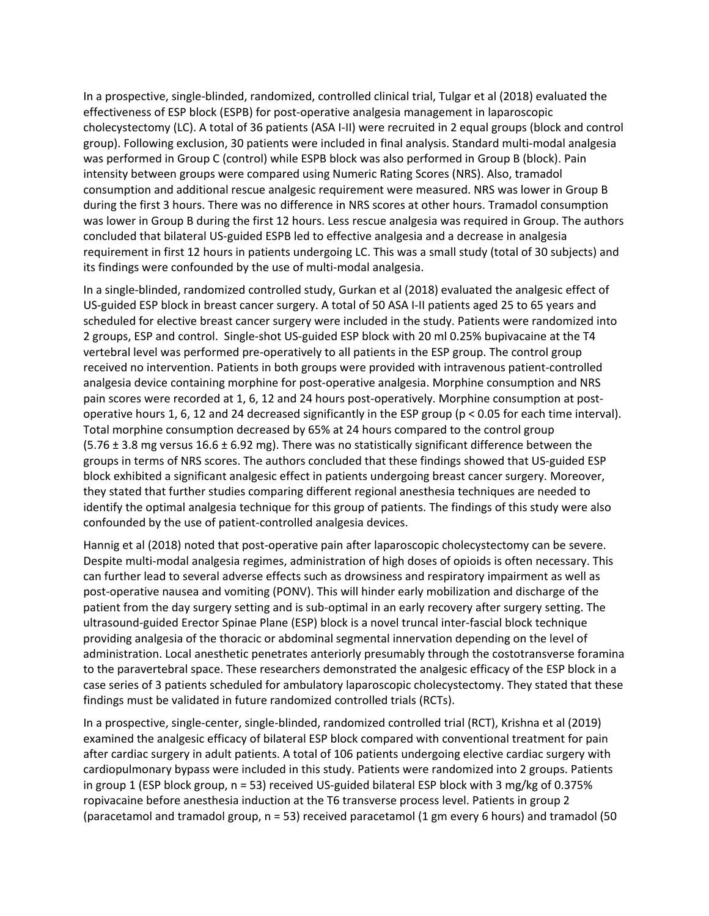In a prospective, single-blinded, randomized, controlled clinical trial, Tulgar et al (2018) evaluated the effectiveness of ESP block (ESPB) for post-operative analgesia management in laparoscopic cholecystectomy (LC). A total of 36 patients (ASA I-II) were recruited in 2 equal groups (block and control group). Following exclusion, 30 patients were included in final analysis. Standard multi-modal analgesia was performed in Group C (control) while ESPB block was also performed in Group B (block). Pain intensity between groups were compared using Numeric Rating Scores (NRS). Also, tramadol consumption and additional rescue analgesic requirement were measured. NRS was lower in Group B during the first 3 hours. There was no difference in NRS scores at other hours. Tramadol consumption was lower in Group B during the first 12 hours. Less rescue analgesia was required in Group. The authors concluded that bilateral US-guided ESPB led to effective analgesia and a decrease in analgesia requirement in first 12 hours in patients undergoing LC. This was a small study (total of 30 subjects) and its findings were confounded by the use of multi-modal analgesia.

In a single-blinded, randomized controlled study, Gurkan et al (2018) evaluated the analgesic effect of US-guided ESP block in breast cancer surgery. A total of 50 ASA I-II patients aged 25 to 65 years and scheduled for elective breast cancer surgery were included in the study. Patients were randomized into 2 groups, ESP and control. Single-shot US-guided ESP block with 20 ml 0.25% bupivacaine at the T4 vertebral level was performed pre-operatively to all patients in the ESP group. The control group received no intervention. Patients in both groups were provided with intravenous patient-controlled analgesia device containing morphine for post-operative analgesia. Morphine consumption and NRS pain scores were recorded at 1, 6, 12 and 24 hours post-operatively. Morphine consumption at postoperative hours 1, 6, 12 and 24 decreased significantly in the ESP group (p < 0.05 for each time interval). Total morphine consumption decreased by 65% at 24 hours compared to the control group (5.76 ± 3.8 mg versus 16.6 ± 6.92 mg). There was no statistically significant difference between the groups in terms of NRS scores. The authors concluded that these findings showed that US-guided ESP block exhibited a significant analgesic effect in patients undergoing breast cancer surgery. Moreover, they stated that further studies comparing different regional anesthesia techniques are needed to identify the optimal analgesia technique for this group of patients. The findings of this study were also confounded by the use of patient-controlled analgesia devices.

Hannig et al (2018) noted that post-operative pain after laparoscopic cholecystectomy can be severe. Despite multi-modal analgesia regimes, administration of high doses of opioids is often necessary. This can further lead to several adverse effects such as drowsiness and respiratory impairment as well as post-operative nausea and vomiting (PONV). This will hinder early mobilization and discharge of the patient from the day surgery setting and is sub-optimal in an early recovery after surgery setting. The ultrasound-guided Erector Spinae Plane (ESP) block is a novel truncal inter-fascial block technique providing analgesia of the thoracic or abdominal segmental innervation depending on the level of administration. Local anesthetic penetrates anteriorly presumably through the costotransverse foramina to the paravertebral space. These researchers demonstrated the analgesic efficacy of the ESP block in a case series of 3 patients scheduled for ambulatory laparoscopic cholecystectomy. They stated that these findings must be validated in future randomized controlled trials (RCTs).

In a prospective, single-center, single-blinded, randomized controlled trial (RCT), Krishna et al (2019) examined the analgesic efficacy of bilateral ESP block compared with conventional treatment for pain after cardiac surgery in adult patients. A total of 106 patients undergoing elective cardiac surgery with cardiopulmonary bypass were included in this study. Patients were randomized into 2 groups. Patients in group 1 (ESP block group, n = 53) received US-guided bilateral ESP block with 3 mg/kg of 0.375% ropivacaine before anesthesia induction at the T6 transverse process level. Patients in group 2 (paracetamol and tramadol group, n = 53) received paracetamol (1 gm every 6 hours) and tramadol (50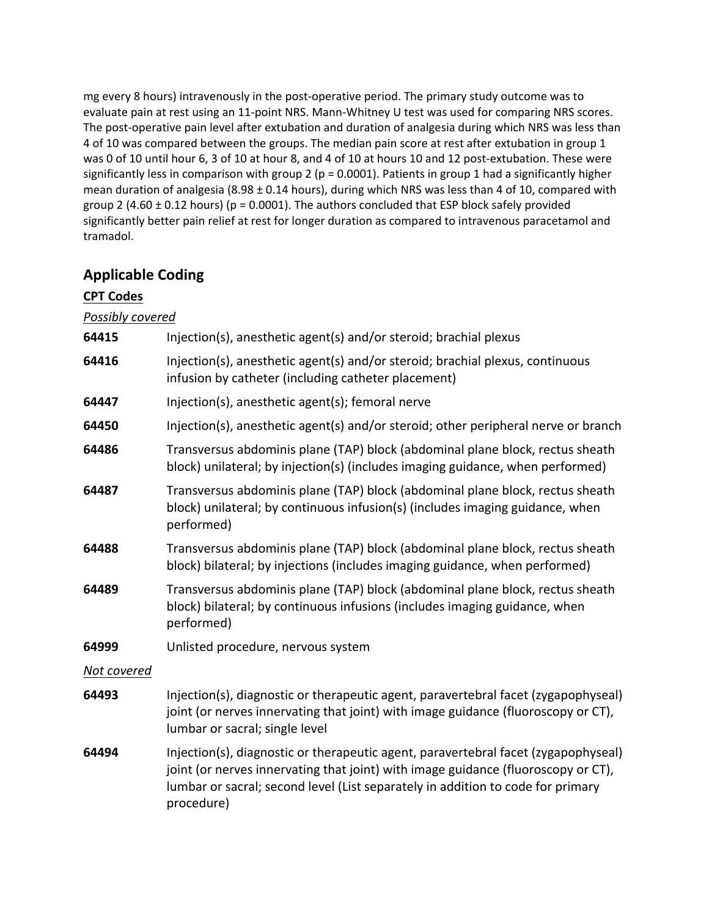mg every 8 hours) intravenously in the post-operative period. The primary study outcome was to evaluate pain at rest using an 11-point NRS. Mann-Whitney U test was used for comparing NRS scores. The post-operative pain level after extubation and duration of analgesia during which NRS was less than 4 of 10 was compared between the groups. The median pain score at rest after extubation in group 1 was 0 of 10 until hour 6, 3 of 10 at hour 8, and 4 of 10 at hours 10 and 12 post-extubation. These were significantly less in comparison with group 2 (p = 0.0001). Patients in group 1 had a significantly higher mean duration of analgesia (8.98 ± 0.14 hours), during which NRS was less than 4 of 10, compared with group 2 (4.60  $\pm$  0.12 hours) (p = 0.0001). The authors concluded that ESP block safely provided significantly better pain relief at rest for longer duration as compared to intravenous paracetamol and tramadol.

## **Applicable Coding**

## **CPT Codes**

*Possibly covered*

- **64415** Injection(s), anesthetic agent(s) and/or steroid; brachial plexus **64416** Injection(s), anesthetic agent(s) and/or steroid; brachial plexus, continuous infusion by catheter (including catheter placement)
- **64447** Injection(s), anesthetic agent(s); femoral nerve
- **64450** Injection(s), anesthetic agent(s) and/or steroid; other peripheral nerve or branch
- **64486** Transversus abdominis plane (TAP) block (abdominal plane block, rectus sheath block) unilateral; by injection(s) (includes imaging guidance, when performed)
- **64487** Transversus abdominis plane (TAP) block (abdominal plane block, rectus sheath block) unilateral; by continuous infusion(s) (includes imaging guidance, when performed)
- **64488** Transversus abdominis plane (TAP) block (abdominal plane block, rectus sheath block) bilateral; by injections (includes imaging guidance, when performed)
- **64489** Transversus abdominis plane (TAP) block (abdominal plane block, rectus sheath block) bilateral; by continuous infusions (includes imaging guidance, when performed)
- **64999** Unlisted procedure, nervous system

### *Not covered*

- **64493** Injection(s), diagnostic or therapeutic agent, paravertebral facet (zygapophyseal) joint (or nerves innervating that joint) with image guidance (fluoroscopy or CT), lumbar or sacral; single level
- **64494** Injection(s), diagnostic or therapeutic agent, paravertebral facet (zygapophyseal) joint (or nerves innervating that joint) with image guidance (fluoroscopy or CT), lumbar or sacral; second level (List separately in addition to code for primary procedure)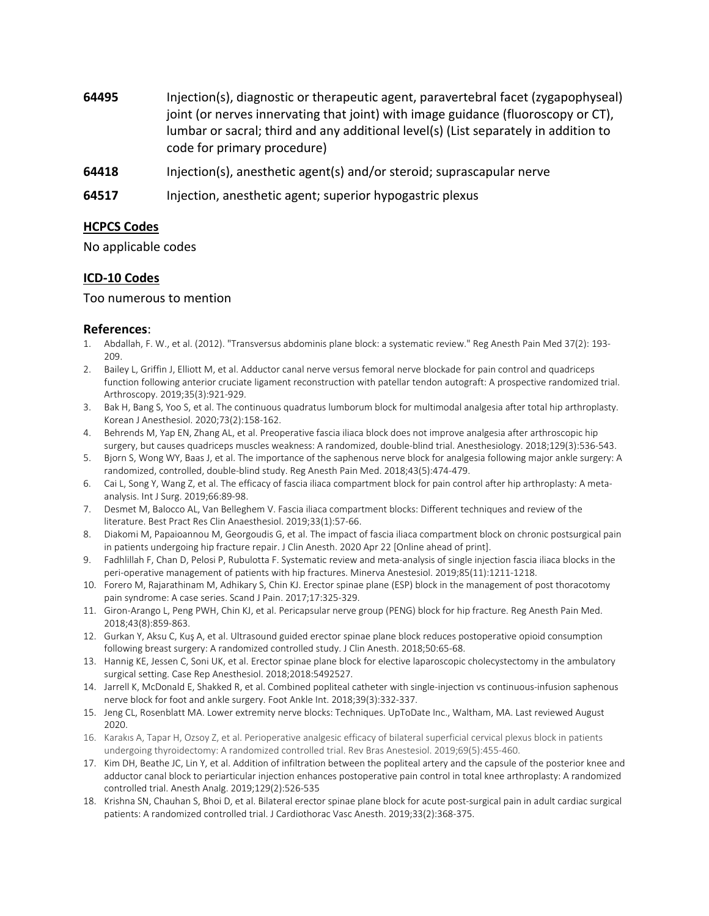- **64495** Injection(s), diagnostic or therapeutic agent, paravertebral facet (zygapophyseal) joint (or nerves innervating that joint) with image guidance (fluoroscopy or CT), lumbar or sacral; third and any additional level(s) (List separately in addition to code for primary procedure)
- **64418** Injection(s), anesthetic agent(s) and/or steroid; suprascapular nerve
- **64517** Injection, anesthetic agent; superior hypogastric plexus

#### **HCPCS Codes**

No applicable codes

#### **ICD-10 Codes**

#### Too numerous to mention

#### **References**:

- 1. Abdallah, F. W., et al. (2012). "Transversus abdominis plane block: a systematic review." Reg Anesth Pain Med 37(2): 193- 209.
- 2. Bailey L, Griffin J, Elliott M, et al. Adductor canal nerve versus femoral nerve blockade for pain control and quadriceps function following anterior cruciate ligament reconstruction with patellar tendon autograft: A prospective randomized trial. Arthroscopy. 2019;35(3):921-929.
- 3. Bak H, Bang S, Yoo S, et al. The continuous quadratus lumborum block for multimodal analgesia after total hip arthroplasty. Korean J Anesthesiol. 2020;73(2):158-162.
- 4. Behrends M, Yap EN, Zhang AL, et al. Preoperative fascia iliaca block does not improve analgesia after arthroscopic hip surgery, but causes quadriceps muscles weakness: A randomized, double-blind trial. Anesthesiology. 2018;129(3):536-543.
- 5. Bjorn S, Wong WY, Baas J, et al. The importance of the saphenous nerve block for analgesia following major ankle surgery: A randomized, controlled, double-blind study. Reg Anesth Pain Med. 2018;43(5):474-479.
- 6. Cai L, Song Y, Wang Z, et al. The efficacy of fascia iliaca compartment block for pain control after hip arthroplasty: A metaanalysis. Int J Surg. 2019;66:89-98.
- 7. Desmet M, Balocco AL, Van Belleghem V. Fascia iliaca compartment blocks: Different techniques and review of the literature. Best Pract Res Clin Anaesthesiol. 2019;33(1):57-66.
- 8. Diakomi M, Papaioannou M, Georgoudis G, et al. The impact of fascia iliaca compartment block on chronic postsurgical pain in patients undergoing hip fracture repair. J Clin Anesth. 2020 Apr 22 [Online ahead of print].
- 9. Fadhlillah F, Chan D, Pelosi P, Rubulotta F. Systematic review and meta-analysis of single injection fascia iliaca blocks in the peri-operative management of patients with hip fractures. Minerva Anestesiol. 2019;85(11):1211-1218.
- 10. Forero M, Rajarathinam M, Adhikary S, Chin KJ. Erector spinae plane (ESP) block in the management of post thoracotomy pain syndrome: A case series. Scand J Pain. 2017;17:325-329.
- 11. Giron-Arango L, Peng PWH, Chin KJ, et al. Pericapsular nerve group (PENG) block for hip fracture. Reg Anesth Pain Med. 2018;43(8):859-863.
- 12. Gurkan Y, Aksu C, Kuş A, et al. Ultrasound guided erector spinae plane block reduces postoperative opioid consumption following breast surgery: A randomized controlled study. J Clin Anesth. 2018;50:65-68.
- 13. Hannig KE, Jessen C, Soni UK, et al. Erector spinae plane block for elective laparoscopic cholecystectomy in the ambulatory surgical setting. Case Rep Anesthesiol. 2018;2018:5492527.
- 14. Jarrell K, McDonald E, Shakked R, et al. Combined popliteal catheter with single-injection vs continuous-infusion saphenous nerve block for foot and ankle surgery. Foot Ankle Int. 2018;39(3):332-337.
- 15. Jeng CL, Rosenblatt MA. Lower extremity nerve blocks: Techniques. UpToDate Inc., Waltham, MA. Last reviewed August 2020.
- 16. Karakıs A, Tapar H, Ozsoy Z, et al. Perioperative analgesic efficacy of bilateral superficial cervical plexus block in patients undergoing thyroidectomy: A randomized controlled trial. Rev Bras Anestesiol. 2019;69(5):455-460.
- 17. Kim DH, Beathe JC, Lin Y, et al. Addition of infiltration between the popliteal artery and the capsule of the posterior knee and adductor canal block to periarticular injection enhances postoperative pain control in total knee arthroplasty: A randomized controlled trial. Anesth Analg. 2019;129(2):526-535
- 18. Krishna SN, Chauhan S, Bhoi D, et al. Bilateral erector spinae plane block for acute post-surgical pain in adult cardiac surgical patients: A randomized controlled trial. J Cardiothorac Vasc Anesth. 2019;33(2):368-375.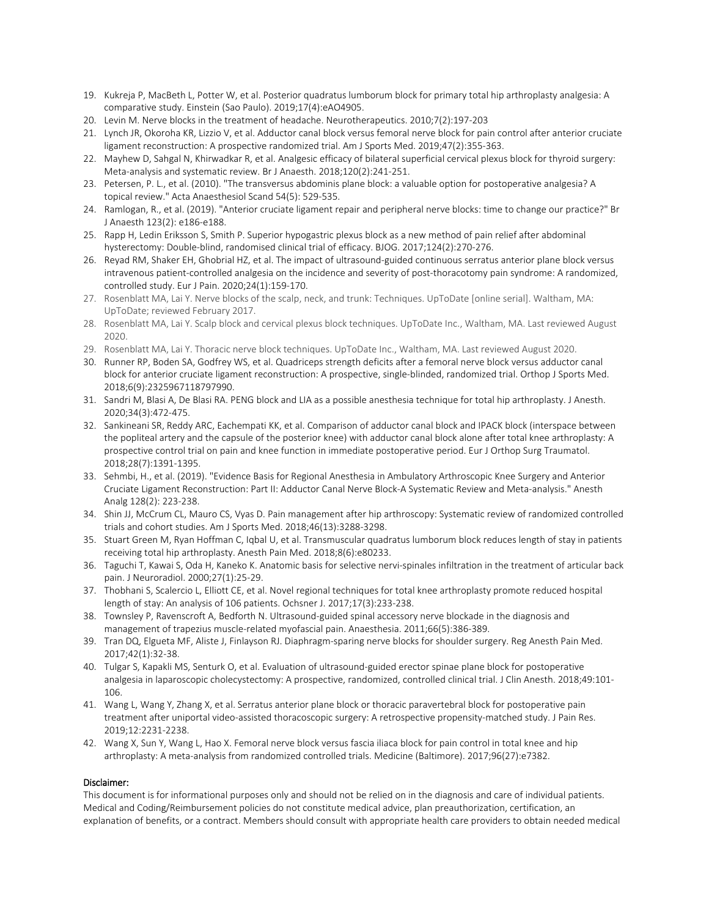- 19. Kukreja P, MacBeth L, Potter W, et al. Posterior quadratus lumborum block for primary total hip arthroplasty analgesia: A comparative study. Einstein (Sao Paulo). 2019;17(4):eAO4905.
- 20. Levin M. Nerve blocks in the treatment of headache. Neurotherapeutics. 2010;7(2):197-203
- 21. Lynch JR, Okoroha KR, Lizzio V, et al. Adductor canal block versus femoral nerve block for pain control after anterior cruciate ligament reconstruction: A prospective randomized trial. Am J Sports Med. 2019;47(2):355-363.
- 22. Mayhew D, Sahgal N, Khirwadkar R, et al. Analgesic efficacy of bilateral superficial cervical plexus block for thyroid surgery: Meta-analysis and systematic review. Br J Anaesth. 2018;120(2):241-251.
- 23. Petersen, P. L., et al. (2010). "The transversus abdominis plane block: a valuable option for postoperative analgesia? A topical review." Acta Anaesthesiol Scand 54(5): 529-535.
- 24. Ramlogan, R., et al. (2019). "Anterior cruciate ligament repair and peripheral nerve blocks: time to change our practice?" Br J Anaesth 123(2): e186-e188.
- 25. Rapp H, Ledin Eriksson S, Smith P. Superior hypogastric plexus block as a new method of pain relief after abdominal hysterectomy: Double-blind, randomised clinical trial of efficacy. BJOG. 2017;124(2):270-276.
- 26. Reyad RM, Shaker EH, Ghobrial HZ, et al. The impact of ultrasound-guided continuous serratus anterior plane block versus intravenous patient-controlled analgesia on the incidence and severity of post-thoracotomy pain syndrome: A randomized, controlled study. Eur J Pain. 2020;24(1):159-170.
- 27. Rosenblatt MA, Lai Y. Nerve blocks of the scalp, neck, and trunk: Techniques. UpToDate [online serial]. Waltham, MA: UpToDate; reviewed February 2017.
- 28. Rosenblatt MA, Lai Y. Scalp block and cervical plexus block techniques. UpToDate Inc., Waltham, MA. Last reviewed August 2020.
- 29. Rosenblatt MA, Lai Y. Thoracic nerve block techniques. UpToDate Inc., Waltham, MA. Last reviewed August 2020.
- 30. Runner RP, Boden SA, Godfrey WS, et al. Quadriceps strength deficits after a femoral nerve block versus adductor canal block for anterior cruciate ligament reconstruction: A prospective, single-blinded, randomized trial. Orthop J Sports Med. 2018;6(9):2325967118797990.
- 31. Sandri M, Blasi A, De Blasi RA. PENG block and LIA as a possible anesthesia technique for total hip arthroplasty. J Anesth. 2020;34(3):472-475.
- 32. Sankineani SR, Reddy ARC, Eachempati KK, et al. Comparison of adductor canal block and IPACK block (interspace between the popliteal artery and the capsule of the posterior knee) with adductor canal block alone after total knee arthroplasty: A prospective control trial on pain and knee function in immediate postoperative period. Eur J Orthop Surg Traumatol. 2018;28(7):1391-1395.
- 33. Sehmbi, H., et al. (2019). "Evidence Basis for Regional Anesthesia in Ambulatory Arthroscopic Knee Surgery and Anterior Cruciate Ligament Reconstruction: Part II: Adductor Canal Nerve Block-A Systematic Review and Meta-analysis." Anesth Analg 128(2): 223-238.
- 34. Shin JJ, McCrum CL, Mauro CS, Vyas D. Pain management after hip arthroscopy: Systematic review of randomized controlled trials and cohort studies. Am J Sports Med. 2018;46(13):3288-3298.
- 35. Stuart Green M, Ryan Hoffman C, Iqbal U, et al. Transmuscular quadratus lumborum block reduces length of stay in patients receiving total hip arthroplasty. Anesth Pain Med. 2018;8(6):e80233.
- 36. Taguchi T, Kawai S, Oda H, Kaneko K. Anatomic basis for selective nervi-spinales infiltration in the treatment of articular back pain. J Neuroradiol. 2000;27(1):25-29.
- 37. Thobhani S, Scalercio L, Elliott CE, et al. Novel regional techniques for total knee arthroplasty promote reduced hospital length of stay: An analysis of 106 patients. Ochsner J. 2017;17(3):233-238.
- 38. Townsley P, Ravenscroft A, Bedforth N. Ultrasound-guided spinal accessory nerve blockade in the diagnosis and management of trapezius muscle-related myofascial pain. Anaesthesia. 2011;66(5):386-389.
- 39. Tran DQ, Elgueta MF, Aliste J, Finlayson RJ. Diaphragm-sparing nerve blocks for shoulder surgery. Reg Anesth Pain Med. 2017;42(1):32-38.
- 40. Tulgar S, Kapakli MS, Senturk O, et al. Evaluation of ultrasound-guided erector spinae plane block for postoperative analgesia in laparoscopic cholecystectomy: A prospective, randomized, controlled clinical trial. J Clin Anesth. 2018;49:101- 106.
- 41. Wang L, Wang Y, Zhang X, et al. Serratus anterior plane block or thoracic paravertebral block for postoperative pain treatment after uniportal video-assisted thoracoscopic surgery: A retrospective propensity-matched study. J Pain Res. 2019;12:2231-2238.
- 42. Wang X, Sun Y, Wang L, Hao X. Femoral nerve block versus fascia iliaca block for pain control in total knee and hip arthroplasty: A meta-analysis from randomized controlled trials. Medicine (Baltimore). 2017;96(27):e7382.

#### Disclaimer:

This document is for informational purposes only and should not be relied on in the diagnosis and care of individual patients. Medical and Coding/Reimbursement policies do not constitute medical advice, plan preauthorization, certification, an explanation of benefits, or a contract. Members should consult with appropriate health care providers to obtain needed medical